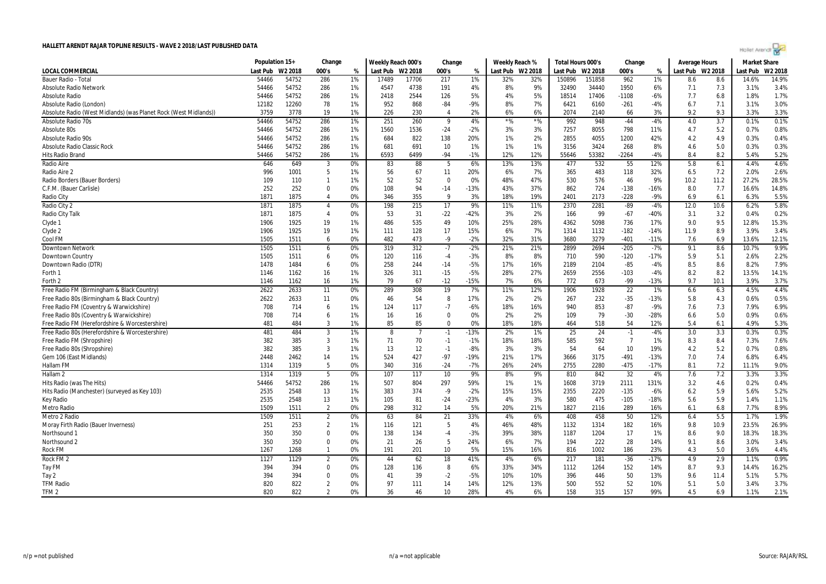

|                                                                  | Population 15+ |         | Change         |    | Weekly Reach 000's |                | Change         |        | Weekly Reach % |         | Total Hours 000's |        | Change         |        | <b>Average Hours</b> |      | <b>Market Share</b> |         |
|------------------------------------------------------------------|----------------|---------|----------------|----|--------------------|----------------|----------------|--------|----------------|---------|-------------------|--------|----------------|--------|----------------------|------|---------------------|---------|
| <b>LOCAL COMMERCIAL</b>                                          | Last Pub       | W2 2018 | 000's          | %  | Last Pub           | W2 2018        | 000's          | %      | Last Pub       | W2 2018 | Last Pub W2 2018  |        | 000's          | %      | Last Pub W2 2018     |      | Last Pub            | W2 2018 |
| <b>Bauer Radio - Total</b>                                       | 54466          | 54752   | 286            | 1% | 17489              | 17706          | 217            | 1%     | 32%            | 32%     | 150896            | 151858 | 962            | 1%     | 8.6                  | 8.6  | 14.6%               | 14.9%   |
| <b>Absolute Radio Network</b>                                    | 54466          | 54752   | 286            | 1% | 4547               | 4738           | 191            | 4%     | 8%             | 9%      | 32490             | 34440  | 1950           | 6%     | 7.1                  | 7.3  | 3.1%                | 3.4%    |
| Absolute Radio                                                   | 54466          | 54752   | 286            | 1% | 2418               | 2544           | 126            | 5%     | 4%             | 5%      | 18514             | 17406  | -1108          | $-6%$  | 7.7                  | 6.8  | 1.8%                | 1.7%    |
| Absolute Radio (London)                                          | 12182          | 12260   | 78             | 1% | 952                | 868            | $-84$          | -9%    | 8%             | 7%      | 6421              | 6160   | $-261$         | $-4%$  | 6.7                  | 7.1  | 3.1%                | 3.0%    |
| Absolute Radio (West Midlands) (was Planet Rock (West Midlands)) | 3759           | 3778    | 19             | 1% | 226                | 230            | $\overline{4}$ | 2%     | 6%             | 6%      | 2074              | 2140   | 66             | 3%     | 9.2                  | 9.3  | 3.3%                | 3.3%    |
| <b>Absolute Radio 70s</b>                                        | 54466          | 54752   | 286            | 1% | 251                | 260            | $\overline{9}$ | 4%     | $*9/6$         | $*$ %   | 992               | 948    | $-44$          | $-4%$  | 4.0                  | 3.7  | 0.1%                | 0.1%    |
| Absolute 80s                                                     | 54466          | 54752   | 286            | 1% | 1560               | 1536           | $-24$          | $-2%$  | 3%             | 3%      | 7257              | 8055   | 798            | 11%    | 4.7                  | 5.2  | 0.7%                | 0.8%    |
| Absolute Radio 90s                                               | 54466          | 54752   | 286            | 1% | 684                | 822            | 138            | 20%    | 1%             | 2%      | 2855              | 4055   | 1200           | 42%    | 4.2                  | 4.9  | 0.3%                | 0.4%    |
| Absolute Radio Classic Rock                                      | 54466          | 54752   | 286            | 1% | 681                | 691            | 10             | 1%     | 1%             | 1%      | 3156              | 3424   | 268            | 8%     | 4.6                  | 5.0  | 0.3%                | 0.3%    |
| <b>Hits Radio Brand</b>                                          | 54466          | 54752   | 286            | 1% | 6593               | 6499           | $-94$          | $-1%$  | 12%            | 12%     | 55646             | 53382  | $-2264$        | $-4%$  | 8.4                  | 8.2  | 5.4%                | 5.2%    |
| <b>Radio Aire</b>                                                | 646            | 649     | $\overline{3}$ | 0% | 83                 | 88             | 5              | 6%     | 13%            | 13%     | 477               | 532    | 55             | 12%    | 5.8                  | 6.1  | 4.4%                | 4.6%    |
| Radio Aire 2                                                     | 996            | 1001    | -5             | 1% | 56                 | 67             | 11             | 20%    | 6%             | 7%      | 365               | 483    | 118            | 32%    | 6.5                  | 7.2  | 2.0%                | 2.6%    |
| Radio Borders (Bauer Borders)                                    | 109            | 110     | $\mathbf{1}$   | 1% | 52                 | 52             | $\Omega$       | 0%     | 48%            | 47%     | 530               | 576    | 46             | 9%     | 10.2                 | 11.2 | 27.2%               | 28.5%   |
| C.F.M. (Bauer Carlisle)                                          | 252            | 252     | $\Omega$       | 0% | 108                | 94             | $-14$          | $-13%$ | 43%            | 37%     | 862               | 724    | $-138$         | $-16%$ | 8.0                  | 7.7  | 16.6%               | 14.8%   |
| Radio City                                                       | 1871           | 1875    | $\overline{4}$ | 0% | 346                | 355            | 9              | 3%     | 18%            | 19%     | 2401              | 2173   | $-228$         | $-9%$  | 6.9                  | 6.1  | 6.3%                | 5.5%    |
| Radio City 2                                                     | 1871           | 1875    | $\overline{4}$ | 0% | 198                | 215            | 17             | 9%     | 11%            | 11%     | 2370              | 2281   | $-89$          | $-4%$  | 12.0                 | 10.6 | 6.2%                | 5.8%    |
| Radio City Talk                                                  | 1871           | 1875    | $\overline{4}$ | 0% | 53                 | 31             | $-22$          | $-42%$ | 3%             | 2%      | 166               | -99    | $-67$          | $-40%$ | 3.1                  | 3.2  | 0.4%                | 0.2%    |
| Clyde 1                                                          | 1906           | 1925    | 19             | 1% | 486                | 535            | 49             | 10%    | 25%            | 28%     | 4362              | 5098   | 736            | 17%    | 9.0                  | 9.5  | 12.8%               | 15.3%   |
| Clyde 2                                                          | 1906           | 1925    | 19             | 1% | 111                | 128            | 17             | 15%    | 6%             | 7%      | 1314              | 1132   | $-182$         | $-14%$ | 11.9                 | 8.9  | 3.9%                | 3.4%    |
| Cool FM                                                          | 1505           | 1511    | 6              | 0% | 482                | 473            | -9             | $-2%$  | 32%            | 31%     | 3680              | 3279   | $-401$         | $-11%$ | 7.6                  | 6.9  | 13.6%               | 12.1%   |
| <b>Downtown Network</b>                                          | 1505           | 1511    | 6              | 0% | 319                | 312            | $-7$           | $-2%$  | 21%            | 21%     | 2899              | 2694   | $-205$         | $-7%$  | 9.1                  | 8.6  | 10.7%               | 9.9%    |
| Downtown Country                                                 | 1505           | 1511    | 6              | 0% | 120                | 116            | $-4$           | $-3%$  | 8%             | 8%      | 710               | 590    | $-120$         | $-17%$ | 5.9                  | 5.1  | 2.6%                | 2.2%    |
| Downtown Radio (DTR)                                             | 1478           | 1484    | 6              | 0% | 258                | 244            | $-14$          | $-5%$  | 17%            | 16%     | 2189              | 2104   | $-85$          | $-4%$  | 8.5                  | 8.6  | 8.2%                | 7.9%    |
| Forth 1                                                          | 1146           | 1162    | 16             | 1% | 326                | 311            | $-15$          | $-5%$  | 28%            | 27%     | 2659              | 2556   | $-103$         | $-4%$  | 8.2                  | 8.2  | 13.5%               | 14.1%   |
| Forth 2                                                          | 1146           | 1162    | 16             | 1% | 79                 | 67             | $-12$          | $-15%$ | 7%             | 6%      | 772               | 673    | -99            | $-13%$ | 9.7                  | 10.1 | 3.9%                | 3.7%    |
| Free Radio FM (Birmingham & Black Country)                       | 2622           | 2633    | 11             | 0% | 289                | 308            | 19             | 7%     | 11%            | 12%     | 1906              | 1928   | 22             | 1%     | 6.6                  | 6.3  | 4.5%                | 4.4%    |
| Free Radio 80s (Birmingham & Black Country)                      | 2622           | 2633    | 11             | 0% | 46                 | 54             | 8              | 17%    | 2%             | 2%      | 267               | 232    | $-35$          | $-13%$ | 5.8                  | 4.3  | 0.6%                | 0.5%    |
| Free Radio FM (Coventry & Warwickshire)                          | 708            | 714     | 6              | 1% | 124                | 117            | $-7$           | $-6%$  | 18%            | 16%     | 940               | 853    | $-87$          | $-9%$  | 7.6                  | 7.3  | 7.9%                | 6.9%    |
| Free Radio 80s (Coventry & Warwickshire)                         | 708            | 714     | 6              | 1% | 16                 | 16             | $\Omega$       | 0%     | 2%             | 2%      | 109               | 79     | $-30$          | $-28%$ | 6.6                  | 5.0  | 0.9%                | 0.6%    |
| Free Radio FM (Herefordshire & Worcestershire)                   | 481            | 484     | $\overline{3}$ | 1% | 85                 | 85             | $\Omega$       | 0%     | 18%            | 18%     | 464               | 518    | 54             | 12%    | 5.4                  | 6.1  | 4.9%                | 5.3%    |
| Free Radio 80s (Herefordshire & Worcestershire)                  | 481            | 484     | 3              | 1% | 8                  | $\overline{7}$ | $-1$           | $-13%$ | 2%             | 1%      | 25                | 24     | $-1$           | $-4%$  | 3.0                  | 3.3  | 0.3%                | 0.3%    |
| Free Radio FM (Shropshire)                                       | 382            | 385     | $\overline{3}$ | 1% | 71                 | 70             | $-1$           | $-1%$  | 18%            | 18%     | 585               | 592    | $\overline{7}$ | 1%     | 8.3                  | 8.4  | 7.3%                | 7.6%    |
| Free Radio 80s (Shropshire)                                      | 382            | 385     | 3              | 1% | 13                 | 12             | $-1$           | $-8%$  | 3%             | 3%      | 54                | 64     | 10             | 19%    | 4.2                  | 5.2  | 0.7%                | 0.8%    |
| Gem 106 (East Midlands)                                          | 2448           | 2462    | 14             | 1% | 524                | 427            | $-97$          | $-19%$ | 21%            | 17%     | 3666              | 3175   | $-491$         | $-13%$ | 7.0                  | 7.4  | 6.8%                | 6.4%    |
| Hallam FM                                                        | 1314           | 1319    | -5             | 0% | 340                | 316            | $-24$          | $-7%$  | 26%            | 24%     | 2755              | 2280   | $-475$         | $-17%$ | 8.1                  | 7.2  | 11.1%               | 9.0%    |
| Hallam <sub>2</sub>                                              | 1314           | 1319    | 5              | 0% | 107                | 117            | 10             | 9%     | 8%             | 9%      | 810               | 842    | 32             | 4%     | 7.6                  | 7.2  | 3.3%                | 3.3%    |
| Hits Radio (was The Hits)                                        | 54466          | 54752   | 286            | 1% | 507                | 804            | 297            | 59%    | 1%             | 1%      | 1608              | 3719   | 2111           | 131%   | 3.2                  | 4.6  | 0.2%                | 0.4%    |
| Hits Radio (Manchester) (surveyed as Key 103)                    | 2535           | 2548    | 13             | 1% | 383                | 374            | $-9$           | $-2%$  | 15%            | 15%     | 2355              | 2220   | $-135$         | $-6%$  | 6.2                  | 5.9  | 5.6%                | 5.2%    |
| Key Radio                                                        | 2535           | 2548    | 13             | 1% | 105                | 81             | $-24$          | $-23%$ | 4%             | 3%      | 580               | 475    | $-105$         | $-18%$ | 5.6                  | 5.9  | 1.4%                | 1.1%    |
| <b>Metro Radio</b>                                               | 1509           | 1511    | $\overline{2}$ | 0% | 298                | 312            | 14             | 5%     | 20%            | 21%     | 1827              | 2116   | 289            | 16%    | 6.1                  | 6.8  | 7.7%                | 8.9%    |
| Metro 2 Radio                                                    | 1509           | 1511    | $\overline{2}$ | 0% | 63                 | 84             | 21             | 33%    | 4%             | 6%      | 408               | 458    | 50             | 12%    | 6.4                  | 5.5  | 1.7%                | 1.9%    |
| Moray Firth Radio (Bauer Inverness)                              | 251            | 253     | $\overline{2}$ | 1% | 116                | 121            | -5             | 4%     | 46%            | 48%     | 1132              | 1314   | 182            | 16%    | 9.8                  | 10.9 | 23.5%               | 26.9%   |
| Northsound                                                       | 350            | 350     | 0              | 0% | 138                | 134            | $-4$           | $-3%$  | 39%            | 38%     | 1187              | 1204   | 17             | 1%     | 8.6                  | 9.0  | 18.3%               | 18.3%   |
| Northsound 2                                                     | 350            | 350     | $\mathbf 0$    | 0% | 21                 | 26             | 5              | 24%    | 6%             | 7%      | 194               | 222    | 28             | 14%    | 9.1                  | 8.6  | 3.0%                | 3.4%    |
| <b>Rock FM</b>                                                   | 1267           | 1268    | $\mathbf{1}$   | 0% | 191                | 201            | 10             | 5%     | 15%            | 16%     | 816               | 1002   | 186            | 23%    | 4.3                  | 5.0  | 3.6%                | 4.4%    |
| Rock FM <sub>2</sub>                                             | 1127           | 1129    | $\overline{2}$ | 0% | 44                 | 62             | 18             | 41%    | 4%             | 6%      | 217               | 181    | $-36$          | $-17%$ | 4.9                  | 2.9  | 1.1%                | 0.9%    |
| Tay FM                                                           | 394            | 394     | $\Omega$       | 0% | 128                | 136            | 8              | 6%     | 33%            | 34%     | 1112              | 1264   | 152            | 14%    | 8.7                  | 9.3  | 14.4%               | 16.2%   |
| Tay 2                                                            | 394            | 394     | $\mathbf 0$    | 0% | 41                 | 39             | $-2$           | $-5%$  | 10%            | 10%     | 396               | 446    | 50             | 13%    | 9.6                  | 11.4 | 5.1%                | 5.7%    |
| <b>TFM Radio</b>                                                 | 820            | 822     | $\overline{2}$ | 0% | 97                 | 111            | 14             | 14%    | 12%            | 13%     | 500               | 552    | 52             | 10%    | 5.1                  | 5.0  | 3.4%                | 3.7%    |
| TFM <sub>2</sub>                                                 | 820            | 822     | $\overline{2}$ | 0% | 36                 | 46             | 10             | 28%    | 4%             | 6%      | 158               | 315    | 157            | 99%    | 4.5                  | 6.9  | 1.1%                | 2.1%    |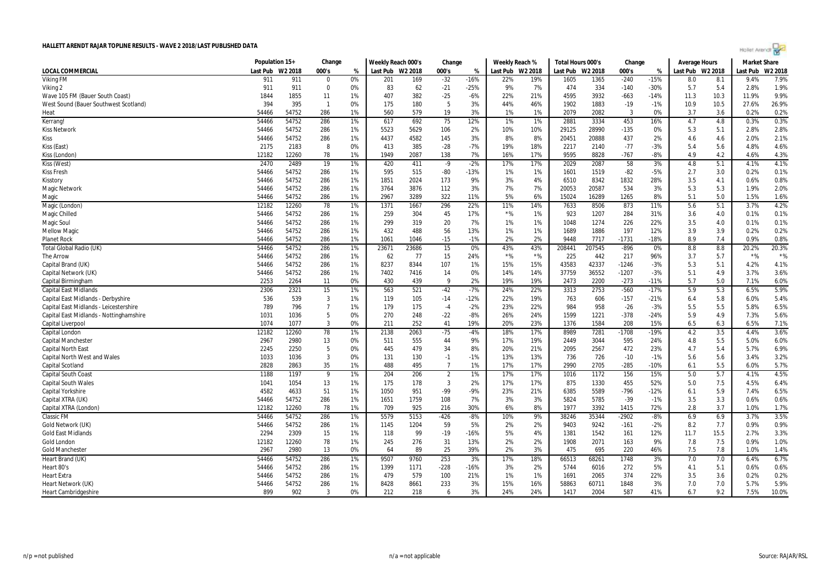| Hollet Arendt |  |  |  |
|---------------|--|--|--|
|               |  |  |  |

|                                         | Population 15+ |         | Change         |    | Weekly Reach 000's |       | Change         |        | Weekly Reach % |                  | Total Hours 000's |         | Change  |        | <b>Average Hours</b> |      | <b>Market Share</b> |         |
|-----------------------------------------|----------------|---------|----------------|----|--------------------|-------|----------------|--------|----------------|------------------|-------------------|---------|---------|--------|----------------------|------|---------------------|---------|
| LOCAL COMMERCIAL                        | Last Pub       | W2 2018 | 000's          | %  | Last Pub W2 2018   |       | 000's          | %      |                | Last Pub W2 2018 | Last Pub          | W2 2018 | 000's   | %      | Last Pub W2 2018     |      | Last Pub            | W2 2018 |
| <b>Viking FM</b>                        | 911            | 911     | $\Omega$       | 0% | 201                | 169   | $-32$          | $-16%$ | 22%            | 19%              | 1605              | 1365    | $-240$  | $-15%$ | 8.0                  | 8.1  | 9.4%                | 7.9%    |
| Viking 2                                | 911            | 911     | $\Omega$       | 0% | 83                 | 62    | $-21$          | $-25%$ | 9%             | 7%               | 474               | 334     | $-140$  | -30%   | 5.7                  | 5.4  | 2.8%                | 1.9%    |
| Wave 105 FM (Bauer South Coast)         | 1844           | 1855    | 11             | 1% | 407                | 382   | $-25$          | $-6%$  | 22%            | 21%              | 4595              | 3932    | $-663$  | $-14%$ | 11.3                 | 10.3 | 11.9%               | 9.9%    |
| West Sound (Bauer Southwest Scotland)   | 394            | 395     | $\mathbf{1}$   | 0% | 175                | 180   | 5              | 3%     | 44%            | 46%              | 1902              | 1883    | $-19$   | $-1%$  | 10.9                 | 10.5 | 27.6%               | 26.9%   |
| Heat                                    | 54466          | 54752   | 286            | 1% | 560                | 579   | 19             | 3%     | 1%             | 1%               | 2079              | 2082    | 3       | 0%     | 3.7                  | 3.6  | 0.2%                | 0.2%    |
| Kerrang!                                | 54466          | 54752   | 286            | 1% | 617                | 692   | 75             | 12%    | 1%             | 1%               | 2881              | 3334    | 453     | 16%    | 4.7                  | 4.8  | 0.3%                | 0.3%    |
| <b>Kiss Network</b>                     | 54466          | 54752   | 286            | 1% | 5523               | 5629  | 106            | 2%     | 10%            | 10%              | 29125             | 28990   | $-135$  | 0%     | 5.3                  | 5.1  | 2.8%                | 2.8%    |
| Kiss                                    | 54466          | 54752   | 286            | 1% | 4437               | 4582  | 145            | 3%     | 8%             | 8%               | 20451             | 20888   | 437     | 2%     | 4.6                  | 4.6  | 2.0%                | 2.1%    |
| Kiss (East)                             | 2175           | 2183    | 8              | 0% | 413                | 385   | $-28$          | $-7%$  | 19%            | 18%              | 2217              | 2140    | $-77$   | $-3%$  | 5.4                  | 5.6  | 4.8%                | 4.6%    |
| Kiss (London)                           | 12182          | 12260   | 78             | 1% | 1949               | 2087  | 138            | 7%     | 16%            | 17%              | 9595              | 8828    | $-767$  | $-8%$  | 4.9                  | 4.2  | 4.6%                | 4.3%    |
| Kiss (West)                             | 2470           | 2489    | 19             | 1% | 420                | 411   | $-9$           | $-2%$  | 17%            | 17%              | 2029              | 2087    | 58      | 3%     | 4.8                  | 5.1  | 4.1%                | 4.1%    |
| <b>Kiss Fresh</b>                       | 54466          | 54752   | 286            | 1% | 595                | 515   | -80            | $-13%$ | 1%             | 1%               | 1601              | 1519    | $-82$   | $-5%$  | 2.7                  | 3.0  | 0.2%                | 0.1%    |
| Kisstory                                | 54466          | 54752   | 286            | 1% | 1851               | 2024  | 173            | 9%     | 3%             | 4%               | 6510              | 8342    | 1832    | 28%    | 3.5                  | 4.1  | 0.6%                | 0.8%    |
| <b>Magic Network</b>                    | 54466          | 54752   | 286            | 1% | 3764               | 3876  | 112            | 3%     | 7%             | 7%               | 20053             | 20587   | 534     | 3%     | 5.3                  | 5.3  | 1.9%                | 2.0%    |
| Magic                                   | 54466          | 54752   | 286            | 1% | 2967               | 3289  | 322            | 11%    | 5%             | 6%               | 15024             | 16289   | 1265    | 8%     | 5.1                  | 5.0  | 1.5%                | 1.6%    |
| Magic (London)                          | 12182          | 12260   | 78             | 1% | 1371               | 1667  | 296            | 22%    | 11%            | 14%              | 7633              | 8506    | 873     | 11%    | 5.6                  | 5.1  | 3.7%                | 4.2%    |
| Magic Chilled                           | 54466          | 54752   | 286            | 1% | 259                | 304   | 45             | 17%    | $*$ %          | 1%               | 923               | 1207    | 284     | 31%    | 3.6                  | 4.0  | 0.1%                | 0.1%    |
| <b>Magic Soul</b>                       | 54466          | 54752   | 286            | 1% | 299                | 319   | 20             | 7%     | 1%             | 1%               | 1048              | 1274    | 226     | 22%    | 3.5                  | 4.0  | 0.1%                | 0.1%    |
| <b>Mellow Magic</b>                     | 54466          | 54752   | 286            | 1% | 432                | 488   | 56             | 13%    | 1%             | 1%               | 1689              | 1886    | 197     | 12%    | 3.9                  | 3.9  | 0.2%                | 0.2%    |
| <b>Planet Rock</b>                      | 54466          | 54752   | 286            | 1% | 1061               | 1046  | $-15$          | $-1%$  | 2%             | 2%               | 9448              | 7717    | $-1731$ | $-18%$ | 8.9                  | 7.4  | 0.9%                | 0.8%    |
| Total Global Radio (UK)                 | 54466          | 54752   | 286            | 1% | 23671              | 23686 | 15             | 0%     | 43%            | 43%              | 208441            | 207545  | $-896$  | 0%     | 8.8                  | 8.8  | 20.2%               | 20.3%   |
| <b>The Arrow</b>                        | 54466          | 54752   | 286            | 1% | 62                 | 77    | 15             | 24%    | $*$ %          | $*$ %            | 225               | 442     | 217     | 96%    | 3.7                  | 5.7  | $*$ %               | $*$ %   |
| Capital Brand (UK)                      | 54466          | 54752   | 286            | 1% | 8237               | 8344  | 107            | 1%     | 15%            | 15%              | 43583             | 42337   | $-1246$ | $-3%$  | 5.3                  | 5.1  | 4.2%                | 4.1%    |
| Capital Network (UK)                    | 54466          | 54752   | 286            | 1% | 7402               | 7416  | 14             | 0%     | 14%            | 14%              | 37759             | 36552   | $-1207$ | $-3%$  | 5.1                  | 4.9  | 3.7%                | 3.6%    |
| Capital Birmingham                      | 2253           | 2264    | 11             | 0% | 430                | 439   | 9              | 2%     | 19%            | 19%              | 2473              | 2200    | $-273$  | $-11%$ | 5.7                  | 5.0  | 7.1%                | 6.0%    |
| <b>Capital East Midlands</b>            | 2306           | 2321    | 15             | 1% | 563                | 521   | $-42$          | $-7%$  | 24%            | 22%              | 3313              | 2753    | $-560$  | $-17%$ | 5.9                  | 5.3  | 6.5%                | 5.9%    |
| Capital East Midlands - Derbyshire      | 536            | 539     | 3              | 1% | 119                | 105   | $-14$          | $-12%$ | 22%            | 19%              | 763               | 606     | $-157$  | $-21%$ | 6.4                  | 5.8  | 6.0%                | 5.4%    |
| Capital East Midlands - Leicestershire  | 789            | 796     | $\overline{7}$ | 1% | 179                | 175   | $-4$           | $-2%$  | 23%            | 22%              | 984               | 958     | $-26$   | $-3%$  | 5.5                  | 5.5  | 5.8%                | 6.5%    |
| Capital East Midlands - Nottinghamshire | 1031           | 1036    | 5              | 0% | 270                | 248   | $-22$          | $-8%$  | 26%            | 24%              | 1599              | 1221    | $-378$  | $-24%$ | 5.9                  | 4.9  | 7.3%                | 5.6%    |
| Capital Liverpool                       | 1074           | 1077    | 3              | 0% | 211                | 252   | 41             | 19%    | 20%            | 23%              | 1376              | 1584    | 208     | 15%    | 6.5                  | 6.3  | 6.5%                | 7.1%    |
| Capital London                          | 12182          | 12260   | 78             | 1% | 2138               | 2063  | $-75$          | $-4%$  | 18%            | 17%              | 8989              | 7281    | $-1708$ | $-19%$ | 4.2                  | 3.5  | 4.4%                | 3.6%    |
| <b>Capital Mancheste</b>                | 2967           | 2980    | 13             | 0% | 511                | 555   | 44             | 9%     | 17%            | 19%              | 2449              | 3044    | 595     | 24%    | 4.8                  | 5.5  | 5.0%                | 6.0%    |
| <b>Capital North East</b>               | 2245           | 2250    | 5              | 0% | 445                | 479   | 34             | 8%     | 20%            | 21%              | 2095              | 2567    | 472     | 23%    | 4.7                  | 5.4  | 5.7%                | 6.9%    |
| <b>Capital North West and Wales</b>     | 1033           | 1036    | $\overline{3}$ | 0% | 131                | 130   | $-1$           | $-1%$  | 13%            | 13%              | 736               | 726     | $-10$   | $-1%$  | 5.6                  | 5.6  | 3.4%                | 3.2%    |
| <b>Capital Scotland</b>                 | 2828           | 2863    | 35             | 1% | 488                | 495   | $\overline{7}$ | 1%     | 17%            | 17%              | 2990              | 2705    | $-285$  | $-10%$ | 6.1                  | 5.5  | 6.0%                | 5.7%    |
| <b>Capital South Coast</b>              | 1188           | 1197    | 9              | 1% | 204                | 206   | $\overline{2}$ | 1%     | 17%            | 17%              | 1016              | 1172    | 156     | 15%    | 5.0                  | 5.7  | 4.1%                | 4.5%    |
| <b>Capital South Wales</b>              | 1041           | 1054    | 13             | 1% | 175                | 178   | 3              | 2%     | 17%            | 17%              | 875               | 1330    | 455     | 52%    | 5.0                  | 7.5  | 4.5%                | 6.4%    |
| <b>Capital Yorkshire</b>                | 4582           | 4633    | 51             | 1% | 1050               | 951   | -99            | $-9%$  | 23%            | 21%              | 6385              | 5589    | $-796$  | $-12%$ | 6.1                  | 5.9  | 7.4%                | 6.5%    |
| Capital XTRA (UK)                       | 54466          | 54752   | 286            | 1% | 1651               | 1759  | 108            | 7%     | 3%             | 3%               | 5824              | 5785    | $-39$   | $-1%$  | 3.5                  | 3.3  | 0.6%                | 0.6%    |
| Capital XTRA (London)                   | 12182          | 12260   | 78             | 1% | 709                | 925   | 216            | 30%    | 6%             | 8%               | 1977              | 3392    | 1415    | 72%    | 2.8                  | 3.7  | 1.0%                | 1.7%    |
| <b>Classic FM</b>                       | 54466          | 54752   | 286            | 1% | 5579               | 5153  | $-426$         | $-8%$  | 10%            | 9%               | 38246             | 35344   | $-2902$ | $-8%$  | 6.9                  | 6.9  | 3.7%                | 3.5%    |
| Gold Network (UK)                       | 54466          | 54752   | 286            | 1% | 1145               | 1204  | 59             | 5%     | 2%             | 2%               | 9403              | 9242    | $-161$  | $-2%$  | 8.2                  | 7.7  | 0.9%                | 0.9%    |
| <b>Gold East Midlands</b>               | 2294           | 2309    | 15             | 1% | 118                | 99    | $-19$          | $-16%$ | 5%             | 4%               | 1381              | 1542    | 161     | 12%    | 11.7                 | 15.5 | 2.7%                | 3.3%    |
| Gold London                             | 12182          | 12260   | 78             | 1% | 245                | 276   | 31             | 13%    | 2%             | 2%               | 1908              | 2071    | 163     | 9%     | 7.8                  | 7.5  | 0.9%                | 1.0%    |
| <b>Gold Manchester</b>                  | 2967           | 2980    | 13             | 0% | 64                 | 89    | 25             | 39%    | 2%             | 3%               | 475               | 695     | 220     | 46%    | 7.5                  | 7.8  | 1.0%                | 1.4%    |
| Heart Brand (UK)                        | 54466          | 54752   | 286            | 1% | 9507               | 9760  | 253            | 3%     | 17%            | 18%              | 66513             | 68261   | 1748    | 3%     | 7.0                  | 7.0  | 6.4%                | 6.7%    |
| Heart 80's                              | 54466          | 54752   | 286            | 1% | 1399               | 1171  | $-228$         | $-16%$ | 3%             | 2%               | 5744              | 6016    | 272     | 5%     | 4.1                  | 5.1  | 0.6%                | 0.6%    |
| <b>Heart Extra</b>                      | 54466          | 54752   | 286            | 1% | 479                | 579   | 100            | 21%    | 1%             | 1%               | 1691              | 2065    | 374     | 22%    | 3.5                  | 3.6  | 0.2%                | 0.2%    |
| Heart Network (UK)                      | 54466          | 54752   | 286            | 1% | 8428               | 8661  | 233            | 3%     | 15%            | 16%              | 58863             | 60711   | 1848    | 3%     | 7.0                  | 7.0  | 5.7%                | 5.9%    |
| <b>Heart Cambridgeshire</b>             | 899            | 902     | 3              | 0% | 212                | 218   | 6              | 3%     | 24%            | 24%              | 1417              | 2004    | 587     | 41%    | 6.7                  | 9.2  | 7.5%                | 10.0%   |
|                                         |                |         |                |    |                    |       |                |        |                |                  |                   |         |         |        |                      |      |                     |         |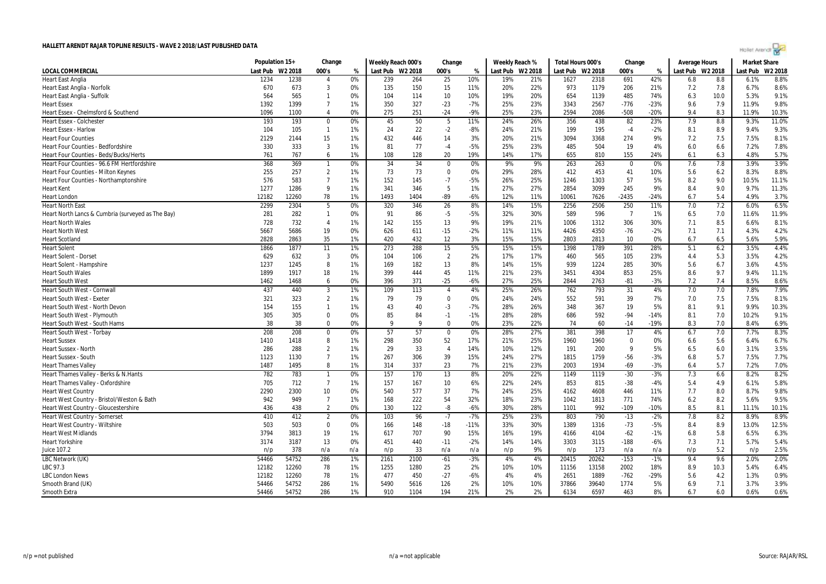| Hollet Arendt ro |  |
|------------------|--|
|                  |  |

|                                                   | Population 15+ |         | Change         |     | Weekly Reach 000's |      | Change          |        | Weekly Reach % |                  | Total Hours 000's |         | Change          |        | <b>Average Hours</b> |      | <b>Market Share</b> |         |
|---------------------------------------------------|----------------|---------|----------------|-----|--------------------|------|-----------------|--------|----------------|------------------|-------------------|---------|-----------------|--------|----------------------|------|---------------------|---------|
| LOCAL COMMERCIAL                                  | Last Pub       | W2 2018 | 000's          | %   | Last Pub W2 2018   |      | 000's           | %      |                | Last Pub W2 2018 | Last Pub          | W2 2018 | 000's           | %      | Last Pub W2 2018     |      | Last Pub            | W2 2018 |
| <b>Heart East Anglia</b>                          | 1234           | 1238    | $\overline{4}$ | 0%  | 239                | 264  | 25              | 10%    | 19%            | 21%              | 1627              | 2318    | 691             | 42%    | 6.8                  | 8.8  | 6.1%                | 8.8%    |
| Heart East Anglia - Norfolk                       | 670            | 673     | 3              | 0%  | 135                | 150  | 15              | 11%    | 20%            | 22%              | 973               | 1179    | 206             | 21%    | 7.2                  | 7.8  | 6.7%                | 8.6%    |
| Heart East Anglia - Suffolk                       | 564            | 565     | $\mathbf{1}$   | 0%  | 104                | 114  | 10              | 10%    | 19%            | 20%              | 654               | 1139    | 485             | 74%    | 6.3                  | 10.0 | 5.3%                | 9.1%    |
| <b>Heart Essex</b>                                | 1392           | 1399    | $\overline{7}$ | 1%  | 350                | 327  | $-23$           | $-7%$  | 25%            | 23%              | 3343              | 2567    | $-776$          | $-23%$ | 9.6                  | 7.9  | 11.9%               | 9.8%    |
| Heart Essex - Chelmsford & Southend               | 1096           | 1100    | $\overline{4}$ | 0%  | 275                | 251  | $-24$           | -9%    | 25%            | 23%              | 2594              | 2086    | $-508$          | $-20%$ | 9.4                  | 8.3  | 11.9%               | 10.3%   |
| <b>Heart Essex - Colchester</b>                   | 193            | 193     | $\mathbf 0$    | 0%  | 45                 | 50   | 5               | 11%    | 24%            | 26%              | 356               | 438     | 82              | 23%    | 7.9                  | 8.8  | 9.3%                | 11.0%   |
| <b>Heart Essex - Harlow</b>                       | 104            | 105     | $\mathbf{1}$   | 1%  | 24                 | 22   | $-2$            | $-8%$  | 24%            | 21%              | 199               | 195     | $-4$            | $-2%$  | 8.1                  | 8.9  | 9.4%                | 9.3%    |
| <b>Heart Four Counties</b>                        | 2129           | 2144    | 15             | 1%  | 432                | 446  | 14              | 3%     | 20%            | 21%              | 3094              | 3368    | 274             | 9%     | 7.2                  | 7.5  | 7.5%                | 8.1%    |
| <b>Heart Four Counties - Bedfordshire</b>         | 330            | 333     | 3              | 1%  | 81                 | 77   | $-4$            | $-5%$  | 25%            | 23%              | 485               | 504     | 19              | 4%     | 6.0                  | 6.6  | 7.2%                | 7.8%    |
| Heart Four Counties - Beds/Bucks/Herts            | 761            | 767     | 6              | 1%  | 108                | 128  | 20              | 19%    | 14%            | 17%              | 655               | 810     | 155             | 24%    | 6.1                  | 6.3  | 4.8%                | 5.7%    |
| Heart Four Counties - 96.6 FM Hertfordshire       | 368            | 369     | $\mathbf{1}$   | 0%  | 34                 | 34   | $\mathbf 0$     | 0%     | 9%             | 9%               | 263               | 263     | $\Omega$        | 0%     | 7.6                  | 7.8  | 3.9%                | 3.9%    |
| <b>Heart Four Counties - Milton Keynes</b>        | 255            | 257     | $\overline{2}$ | 1%  | 73                 | 73   | $\mathbf 0$     | 0%     | 29%            | 28%              | 412               | 453     | 41              | 10%    | 5.6                  | 6.2  | 8.3%                | 8.8%    |
| Heart Four Counties - Northamptonshire            | 576            | 583     | $\overline{7}$ | 1%  | 152                | 145  | $-7$            | $-5%$  | 26%            | 25%              | 1246              | 1303    | 57              | 5%     | 8.2                  | 9.0  | 10.5%               | 11.1%   |
| <b>Heart Kent</b>                                 | 1277           | 1286    | 9              | 1%  | 341                | 346  | 5               | 1%     | 27%            | 27%              | 2854              | 3099    | 245             | 9%     | 8.4                  | 9.0  | 9.7%                | 11.3%   |
| <b>Heart London</b>                               | 12182          | 12260   | 78             | 1%  | 1493               | 1404 | -89             | $-6%$  | 12%            | 11%              | 10061             | 7626    | $-2435$         | $-24%$ | 6.7                  | 5.4  | 4.9%                | 3.7%    |
| <b>Heart North East</b>                           | 2299           | 2304    | 5              | 0%  | 320                | 346  | 26              | 8%     | 14%            | 15%              | 2256              | 2506    | 250             | 11%    | 7.0                  | 7.2  | 6.0%                | 6.5%    |
| Heart North Lancs & Cumbria (surveyed as The Bay) | 281            | 282     | $\mathbf{1}$   | 0%  | 91                 | 86   | $-5$            | $-5%$  | 32%            | 30%              | 589               | 596     | $\overline{7}$  | 1%     | 6.5                  | 7.0  | 11.6%               | 11.9%   |
| <b>Heart North Wales</b>                          | 728            | 732     | $\overline{4}$ | 1%  | 142                | 155  | 13              | 9%     | 19%            | 21%              | 1006              | 1312    | 306             | 30%    | 7.1                  | 8.5  | 6.6%                | 8.1%    |
| <b>Heart North West</b>                           | 5667           | 5686    | 19             | 0%  | 626                | 611  | $-15$           | -2%    | 11%            | 11%              | 4426              | 4350    | $-76$           | $-2%$  | 7.1                  | 7.1  | 4.3%                | 4.2%    |
| <b>Heart Scotland</b>                             | 2828           | 2863    | 35             | 1%  | 420                | 432  | 12              | 3%     | 15%            | 15%              | 2803              | 2813    | 10              | 0%     | 6.7                  | 6.5  | 5.6%                | 5.9%    |
| <b>Heart Solent</b>                               | 1866           | 1877    | 11             | 1%  | 273                | 288  | 15              | 5%     | 15%            | 15%              | 1398              | 1789    | 391             | 28%    | 5.1                  | 6.2  | 3.5%                | 4.4%    |
| <b>Heart Solent - Dorse</b>                       | 629            | 632     | $\overline{3}$ | 0%  | 104                | 106  | $\overline{2}$  | 2%     | 17%            | 17%              | 460               | 565     | 105             | 23%    | 4.4                  | 5.3  | 3.5%                | 4.2%    |
| Heart Solent - Hampshire                          | 1237           | 1245    | 8              | 1%  | 169                | 182  | 13              | 8%     | 14%            | 15%              | 939               | 1224    | 285             | 30%    | 5.6                  | 6.7  | 3.6%                | 4.5%    |
| <b>Heart South Wales</b>                          | 1899           | 1917    | 18             | 1%  | 399                | 444  | 45              | 11%    | 21%            | 23%              | 3451              | 4304    | 853             | 25%    | 8.6                  | 9.7  | 9.4%                | 11.1%   |
| <b>Heart South West</b>                           | 1462           | 1468    | 6              | 0%  | 396                | 371  | $-25$           | $-6%$  | 27%            | 25%              | 2844              | 2763    | $-81$           | $-3%$  | 7.2                  | 7.4  | 8.5%                | 8.6%    |
| Heart South West - Cornwall                       | 437            | 440     | 3              | 1%  | 109                | 113  | $\overline{4}$  | 4%     | 25%            | 26%              | 762               | 793     | 31              | 4%     | 7.0                  | 7.0  | 7.8%                | 7.9%    |
| <b>Heart South West - Exeter</b>                  | 321            | 323     | $\overline{2}$ | 1%  | 79                 | 79   | $\overline{0}$  | 0%     | 24%            | 24%              | 552               | 591     | 39              | 7%     | 7.0                  | 7.5  | 7.5%                | 8.1%    |
| Heart South West - North Devon                    | 154            | 155     | $\mathbf{1}$   | 1%  | 43                 | 40   | -3              | -7%    | 28%            | 26%              | 348               | 367     | 19              | 5%     | 8.1                  | 9.1  | 9.9%                | 10.3%   |
| Heart South West - Plymouth                       | 305            | 305     | $\Omega$       | 0%  | 85                 | 84   | $-1$            | $-1%$  | 28%            | 28%              | 686               | 592     | $-94$           | $-14%$ | 8.1                  | 7.0  | 10.2%               | 9.1%    |
| Heart South West - South Hams                     | 38             | 38      | $\Omega$       | 0%  | q                  | Q    | $\Omega$        | 0%     | 23%            | 22%              | 74                | 60      | $-14$           | $-19%$ | 8.3                  | 7.0  | 8.4%                | 6.9%    |
| <b>Heart South West - Torbay</b>                  | 208            | 208     | $\Omega$       | 0%  | 57                 | 57   | $\overline{0}$  | 0%     | 28%            | 27%              | 381               | 398     | $\overline{17}$ | 4%     | 6.7                  | 7.0  | 7.7%                | 8.3%    |
| <b>Heart Sussex</b>                               | 1410           | 1418    | 8              | 1%  | 298                | 350  | 52              | 17%    | 21%            | 25%              | 1960              | 1960    | $\Omega$        | 0%     | 6.6                  | 5.6  | 6.4%                | 6.7%    |
| <b>Heart Sussex - North</b>                       | 286            | 288     | $\overline{2}$ | 1%  | 29                 | 33   | $\overline{4}$  | 14%    | 10%            | 12%              | 191               | 200     | $\mathbf{Q}$    | 5%     | 6.5                  | 6.0  | 3.1%                | 3.5%    |
| <b>Heart Sussex - South</b>                       | 1123           | 1130    | $\overline{7}$ | 1%  | 267                | 306  | 39              | 15%    | 24%            | 27%              | 1815              | 1759    | $-56$           | $-3%$  | 6.8                  | 5.7  | 7.5%                | 7.7%    |
| <b>Heart Thames Valley</b>                        | 1487           | 1495    | 8              | 1%  | 314                | 337  | 23              | 7%     | 21%            | 23%              | 2003              | 1934    | -69             | $-3%$  | 6.4                  | 5.7  | 7.2%                | 7.0%    |
| Heart Thames Valley - Berks & N.Hants             | 782            | 783     | $\mathbf{1}$   | 0%  | 157                | 170  | 13              | 8%     | 20%            | 22%              | 1149              | 1119    | $-30$           | $-3%$  | 7.3                  | 6.6  | 8.2%                | 8.2%    |
| Heart Thames Valley - Oxfordshire                 | 705            | 712     | $\overline{7}$ | 1%  | 157                | 167  | 10              | 6%     | 22%            | 24%              | 853               | 815     | $-38$           | $-4%$  | 5.4                  | 4.9  | 6.1%                | 5.8%    |
| <b>Heart West Country</b>                         | 2290           | 2300    | 10             | 0%  | 540                | 577  | 37              | 7%     | 24%            | 25%              | 4162              | 4608    | 446             | 11%    | 7.7                  | 8.0  | 8.7%                | 9.8%    |
| Heart West Country - Bristol/Weston & Bath        | 942            | 949     | $\overline{7}$ | 1%  | 168                | 222  | 54              | 32%    | 18%            | 23%              | 1042              | 1813    | 771             | 74%    | 6.2                  | 8.2  | 5.6%                | 9.5%    |
| <b>Heart West Country - Gloucestershire</b>       | 436            | 438     | $\overline{2}$ | 0%  | 130                | 122  | -8              | $-6%$  | 30%            | 28%              | 1101              | 992     | $-109$          | $-10%$ | 8.5                  | 8.1  | 11.1%               | 10.1%   |
| <b>Heart West Country - Somerset</b>              | 410            | 412     | $\overline{2}$ | 0%  | 103                | 96   | $\overline{.7}$ | $-7%$  | 25%            | 23%              | 803               | 790     | $-13$           | $-2%$  | 7.8                  | 8.2  | 8.9%                | 8.9%    |
| Heart West Country - Wiltshire                    | 503            | 503     | $\mathbf 0$    | 0%  | 166                | 148  | $-18$           | $-11%$ | 33%            | 30%              | 1389              | 1316    | $-73$           | $-5%$  | 8.4                  | 8.9  | 13.0%               | 12.5%   |
| <b>Heart West Midlands</b>                        | 3794           | 3813    | 19             | 1%  | 617                | 707  | 90              | 15%    | 16%            | 19%              | 4166              | 4104    | $-62$           | $-1%$  | 6.8                  | 5.8  | 6.5%                | 6.3%    |
| <b>Heart Yorkshire</b>                            | 3174           | 3187    | 13             | 0%  | 451                | 440  | $-11$           | $-2%$  | 14%            | 14%              | 3303              | 3115    | $-188$          | $-6%$  | 7.3                  | 7.1  | 5.7%                | 5.4%    |
| Juice 107.2                                       | n/p            | 378     | n/a            | n/a | n/p                | 33   | n/a             | n/a    | n/p            | 9%               | n/p               | 173     | n/a             | n/a    | n/p                  | 5.2  | n/p                 | 2.5%    |
| LBC Network (UK)                                  | 54466          | 54752   | 286            | 1%  | 2161               | 2100 | $-61$           | $-3%$  | 4%             | 4%               | 20415             | 20262   | $-153$          | $-1%$  | 9.4                  | 9.6  | 2.0%                | 2.0%    |
| LBC 97.3                                          | 12182          | 12260   | 78             | 1%  | 1255               | 1280 | 25              | 2%     | 10%            | 10%              | 11156             | 13158   | 2002            | 18%    | 8.9                  | 10.3 | 5.4%                | 6.4%    |
| <b>LBC London News</b>                            | 12182          | 12260   | 78             | 1%  | 477                | 450  | $-27$           | $-6%$  | 4%             | 4%               | 2651              | 1889    | $-762$          | $-29%$ | 5.6                  | 4.2  | 1.3%                | 0.9%    |
| Smooth Brand (UK)                                 | 54466          | 54752   | 286            | 1%  | 5490               | 5616 | 126             | 2%     | 10%            | 10%              | 37866             | 39640   | 1774            | 5%     | 6.9                  | 7.1  | 3.7%                | 3.9%    |
| Smooth Extra                                      | 54466          | 54752   | 286            | 1%  | 910                | 1104 | 194             | 21%    | 2%             | 2%               | 6134              | 6597    | 463             | 8%     | 6.7                  | 6.0  | 0.6%                | 0.6%    |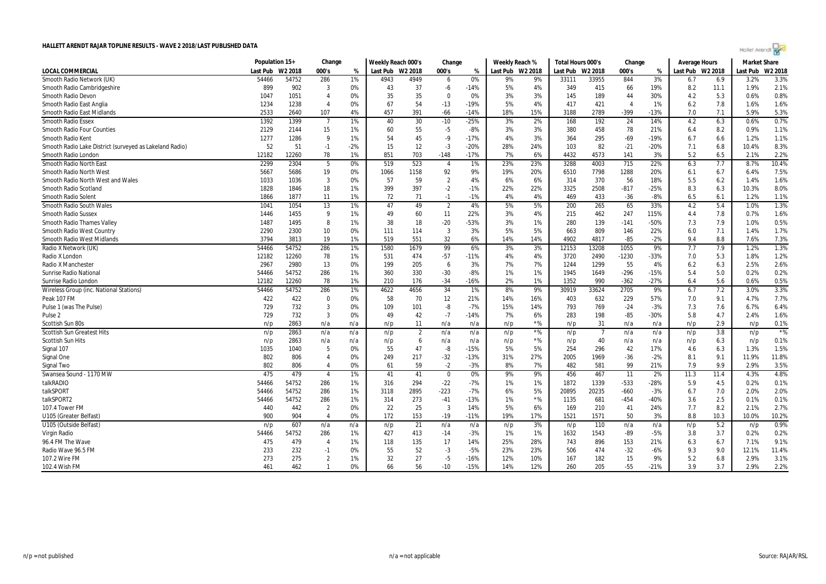| Hollet Arendt |  |  |  |
|---------------|--|--|--|
|               |  |  |  |

|                                                         | Population 15+ |         | Change         |       | Weekly Reach 000's |         | Change         |        | Weekly Reach %   |       | Total Hours 000's |         | Change  |        | Average Hours    |      | <b>Market Share</b> |         |
|---------------------------------------------------------|----------------|---------|----------------|-------|--------------------|---------|----------------|--------|------------------|-------|-------------------|---------|---------|--------|------------------|------|---------------------|---------|
| <b>LOCAL COMMERCIAL</b>                                 | Last Pub       | W2 2018 | 000's          | %     | Last Pub           | W2 2018 | 000's          | %      | Last Pub W2 2018 |       | Last Pub          | W2 2018 | 000's   | %      | Last Pub W2 2018 |      | Last Pub            | W2 2018 |
| Smooth Radio Network (UK)                               | 54466          | 54752   | 286            | 1%    | 4943               | 4949    | 6              | 0%     | 9%               | 9%    | 33111             | 33955   | 844     | 3%     | 6.7              | 6.9  | 3.2%                | 3.3%    |
| Smooth Radio Cambridgeshire                             | 899            | 902     | -3             | 0%    | 43                 | 37      | -6             | $-14%$ | 5%               | 4%    | 349               | 415     | 66      | 19%    | 8.2              | 11.1 | 1.9%                | 2.1%    |
| <b>Smooth Radio Devon</b>                               | 1047           | 1051    | $\overline{4}$ | 0%    | 35                 | 35      | $\overline{0}$ | 0%     | 3%               | 3%    | 145               | 189     | 44      | 30%    | 4.2              | 5.3  | 0.6%                | 0.8%    |
| Smooth Radio East Anglia                                | 1234           | 1238    | $\overline{4}$ | 0%    | 67                 | 54      | $-13$          | $-19%$ | 5%               | 4%    | 417               | 421     |         | 1%     | 6.2              | 7.8  | 1.6%                | 1.6%    |
| <b>Smooth Radio East Midlands</b>                       | 2533           | 2640    | 107            | 4%    | 457                | 391     | $-66$          | $-14%$ | 18%              | 15%   | 3188              | 2789    | $-399$  | $-13%$ | 7.0              | 7.1  | 5.9%                | 5.3%    |
| <b>Smooth Radio Essex</b>                               | 1392           | 1399    | -7             | 1%    | 40                 | 30      | $-10$          | $-25%$ | 3%               | 2%    | 168               | 192     | 24      | 14%    | 4.2              | 6.3  | 0.6%                | 0.7%    |
| <b>Smooth Radio Four Counties</b>                       | 2129           | 2144    | 15             | $1\%$ | 60                 | 55      | $-5$           | -8%    | 3%               | 3%    | 380               | 458     | 78      | 21%    | 6.4              | 8.2  | 0.9%                | 1.1%    |
| Smooth Radio Kent                                       | 1277           | 1286    | 9              | 1%    | 54                 | 45      | $-9$           | $-17%$ | 4%               | 3%    | 364               | 295     | $-69$   | $-19%$ | 6.7              | 6.6  | 1.2%                | 1.1%    |
| Smooth Radio Lake District (surveyed as Lakeland Radio) | 52             | 51      | $-1$           | $-2%$ | 15                 | 12      | $-3$           | $-20%$ | 28%              | 24%   | 103               | 82      | $-21$   | $-20%$ | 7.1              | 6.8  | 10.4%               | 8.3%    |
| Smooth Radio London                                     | 12182          | 12260   | 78             | 1%    | 851                | 703     | $-148$         | $-17%$ | 7%               | 6%    | 4432              | 4573    | 141     | 3%     | 5.2              | 6.5  | 2.1%                | 2.2%    |
| Smooth Radio North East                                 | 2299           | 2304    | 5              | 0%    | 519                | 523     | $\overline{4}$ | 1%     | 23%              | 23%   | 3288              | 4003    | 715     | 22%    | 6.3              | 7.7  | 8.7%                | 10.4%   |
| Smooth Radio North West                                 | 5667           | 5686    | 19             | 0%    | 1066               | 1158    | 92             | 9%     | 19%              | 20%   | 6510              | 7798    | 1288    | 20%    | 6.1              | 6.7  | 6.4%                | 7.5%    |
| Smooth Radio North West and Wales                       | 1033           | 1036    | $\overline{3}$ | 0%    | 57                 | 59      | $\overline{2}$ | 4%     | 6%               | 6%    | 314               | 370     | 56      | 18%    | 5.5              | 6.2  | 1.4%                | 1.6%    |
| Smooth Radio Scotland                                   | 1828           | 1846    | 18             | 1%    | 399                | 397     | $-2$           | $-1%$  | 22%              | 22%   | 3325              | 2508    | $-817$  | $-25%$ | 8.3              | 6.3  | 10.3%               | 8.0%    |
| Smooth Radio Solent                                     | 1866           | 1877    | 11             | 1%    | 72                 | 71      | $-1$           | $-1%$  | 4%               | 4%    | 469               | 433     | $-36$   | $-8%$  | 6.5              | 6.1  | 1.2%                | 1.1%    |
| Smooth Radio South Wales                                | 1041           | 1054    | 13             | 1%    | 47                 | 49      | $\overline{2}$ | 4%     | 5%               | 5%    | 200               | 265     | 65      | 33%    | 4.2              | 5.4  | 1.0%                | 1.3%    |
| <b>Smooth Radio Sussex</b>                              | 1446           | 1455    | 9              | 1%    | 49                 | 60      | 11             | 22%    | 3%               | 4%    | 215               | 462     | 247     | 115%   | 4.4              | 7.8  | 0.7%                | 1.6%    |
| Smooth Radio Thames Valley                              | 1487           | 1495    | 8              | 1%    | 38                 | 18      | $-20$          | -53%   | 3%               | 1%    | 280               | 139     | $-141$  | $-50%$ | 7.3              | 7.9  | 1.0%                | 0.5%    |
| Smooth Radio West Country                               | 2290           | 2300    | 10             | 0%    | 111                | 114     | 3              | 3%     | 5%               | 5%    | 663               | 809     | 146     | 22%    | 6.0              | 7.1  | 1.4%                | 1.7%    |
| Smooth Radio West Midlands                              | 3794           | 3813    | 19             | 1%    | 519                | 551     | 32             | 6%     | 14%              | 14%   | 4902              | 4817    | $-85$   | $-2%$  | 9.4              | 8.8  | 7.6%                | 7.3%    |
| Radio X Network (UK)                                    | 54466          | 54752   | 286            | 1%    | 1580               | 1679    | 99             | 6%     | 3%               | 3%    | 12153             | 13208   | 1055    | 9%     | 7.7              | 7.9  | 1.2%                | 1.3%    |
| Radio X London                                          | 12182          | 12260   | 78             | 1%    | 531                | 474     | $-57$          | $-11%$ | 4%               | 4%    | 3720              | 2490    | $-1230$ | $-33%$ | 7.0              | 5.3  | 1.8%                | 1.2%    |
| Radio X Manchester                                      | 2967           | 2980    | 13             | 0%    | 199                | 205     | 6              | 3%     | 7%               | 7%    | 1244              | 1299    | 55      | 4%     | 6.2              | 6.3  | 2.5%                | 2.6%    |
| Sunrise Radio National                                  | 54466          | 54752   | 286            | 1%    | 360                | 330     | $-30$          | $-8%$  | 1%               | 1%    | 1945              | 1649    | $-296$  | $-15%$ | 5.4              | 5.0  | 0.2%                | 0.2%    |
| Sunrise Radio London                                    | 12182          | 12260   | 78             | 1%    | 210                | 176     | $-34$          | $-16%$ | 2%               | 1%    | 1352              | 990     | $-362$  | $-27%$ | 6.4              | 5.6  | 0.6%                | 0.5%    |
| Wireless Group (inc. National Stations)                 | 54466          | 54752   | 286            | 1%    | 4622               | 4656    | 34             | 1%     | 8%               | 9%    | 30919             | 33624   | 2705    | 9%     | 6.7              | 7.2  | 3.0%                | 3.3%    |
| Peak 107 FM                                             | 422            | 422     | $\mathbf 0$    | 0%    | 58                 | 70      | 12             | 21%    | 14%              | 16%   | 403               | 632     | 229     | 57%    | 7.0              | 9.1  | 4.7%                | 7.7%    |
| Pulse 1 (was The Pulse)                                 | 729            | 732     | 3              | 0%    | 109                | 101     | -8             | $-7%$  | 15%              | 14%   | 793               | 769     | $-24$   | $-3%$  | 7.3              | 7.6  | 6.7%                | 6.4%    |
| Pulse <sub>2</sub>                                      | 729            | 732     | -3             | 0%    | 49                 | 42      | $-7$           | $-14%$ | 7%               | 6%    | 283               | 198     | $-85$   | -30%   | 5.8              | 4.7  | 2.4%                | 1.6%    |
| Scottish Sun 80s                                        | n/p            | 2863    | n/a            | n/a   | n/p                | 11      | n/a            | n/a    | n/p              | $*$ % | n/p               | 31      | n/a     | n/a    | n/p              | 2.9  | n/p                 | 0.1%    |
| <b>Scottish Sun Greatest Hits</b>                       | n/p            | 2863    | n/a            | n/a   | n/p                | -2      | n/a            | n/a    | n/p              | $*$ % | n/p               |         | n/a     | n/a    | n/p              | 3.8  | n/p                 | $*$ %   |
| <b>Scottish Sun Hits</b>                                | n/p            | 2863    | n/a            | n/a   | n/p                | 6       | n/a            | n/a    | n/p              | $*$ % | n/p               | 40      | n/a     | n/a    | n/p              | 6.3  | n/p                 | 0.1%    |
| Signal 107                                              | 1035           | 1040    | 5              | 0%    | 55                 | 47      | -8             | $-15%$ | 5%               | 5%    | 254               | 296     | 42      | 17%    | 4.6              | 6.3  | 1.3%                | 1.5%    |
| Signal One                                              | 802            | 806     | $\overline{4}$ | 0%    | 249                | 217     | $-32$          | $-13%$ | 31%              | 27%   | 2005              | 1969    | $-36$   | $-2%$  | 8.1              | 9.1  | 11.9%               | 11.8%   |
| Signal Two                                              | 802            | 806     | $\overline{4}$ | 0%    | 61                 | 59      | $-2$           | $-3%$  | 8%               | 7%    | 482               | 581     | 99      | 21%    | 7.9              | 9.9  | 2.9%                | 3.5%    |
| Swansea Sound - 1170 MW                                 | 475            | 479     | $\overline{4}$ | 1%    | 41                 | 41      | $\mathbf 0$    | 0%     | 9%               | 9%    | 456               | 467     | 11      | 2%     | 11.3             | 11.4 | 4.3%                | 4.8%    |
| talkRADIO                                               | 54466          | 54752   | 286            | 1%    | 316                | 294     | $-22$          | -7%    | 1%               | 1%    | 1872              | 1339    | $-533$  | $-28%$ | 5.9              | 4.5  | 0.2%                | 0.1%    |
| talkSPORT                                               | 54466          | 54752   | 286            | 1%    | 3118               | 2895    | $-223$         | $-7%$  | 6%               | 5%    | 20895             | 20235   | $-660$  | $-3%$  | 6.7              | 7.0  | 2.0%                | 2.0%    |
| talkSPORT2                                              | 54466          | 54752   | 286            | 1%    | 314                | 273     | $-41$          | $-13%$ | 1%               | $*$ % | 1135              | 681     | $-454$  | -40%   | 3.6              | 2.5  | 0.1%                | 0.1%    |
| 107.4 Tower FM                                          | 440            | 442     | $\overline{2}$ | 0%    | 22                 | 25      | $\overline{3}$ | 14%    | 5%               | 6%    | 169               | 210     | 41      | 24%    | 7.7              | 8.2  | 2.1%                | 2.7%    |
| U105 (Greater Belfast)                                  | 900            | 904     | $\overline{4}$ | 0%    | 172                | 153     | $-19$          | $-11%$ | 19%              | 17%   | 1521              | 1571    | 50      | 3%     | 8.8              | 10.3 | 10.0%               | 10.2%   |
| U105 (Outside Belfast)                                  | n/p            | 607     | n/a            | n/a   | n/p                | 21      | n/a            | n/a    | n/p              | 3%    | n/p               | 110     | n/a     | n/a    | n/p              | 5.2  | n/p                 | 0.9%    |
| Virgin Radio                                            | 54466          | 54752   | 286            | 1%    | 427                | 413     | $-14$          | -3%    | 1%               | 1%    | 1632              | 1543    | $-89$   | $-5%$  | 3.8              | 3.7  | 0.2%                | 0.2%    |
| 96.4 FM The Wave                                        | 475            | 479     | $\overline{4}$ | 1%    | 118                | 135     | 17             | 14%    | 25%              | 28%   | 743               | 896     | 153     | 21%    | 6.3              | 6.7  | 7.1%                | 9.1%    |
| Radio Wave 96.5 FM                                      | 233            | 232     | $-1$           | 0%    | 55                 | 52      | $-3$           | $-5%$  | 23%              | 23%   | 506               | 474     | $-32$   | $-6%$  | 9.3              | 9.0  | 12.1%               | 11.4%   |
| 107.2 Wire FM                                           | 273            | 275     | $\overline{2}$ | 1%    | 32                 | 27      | $-5$           | $-16%$ | 12%              | 10%   | 167               | 182     | 15      | 9%     | 5.2              | 6.8  | 2.9%                | 3.1%    |
| 102.4 Wish FM                                           | 461            | 462     | $\overline{1}$ | 0%    | 66                 | 56      | $-10$          | $-15%$ | 14%              | 12%   | 260               | 205     | $-55$   | $-21%$ | 3.9              | 3.7  | 2.9%                | 2.2%    |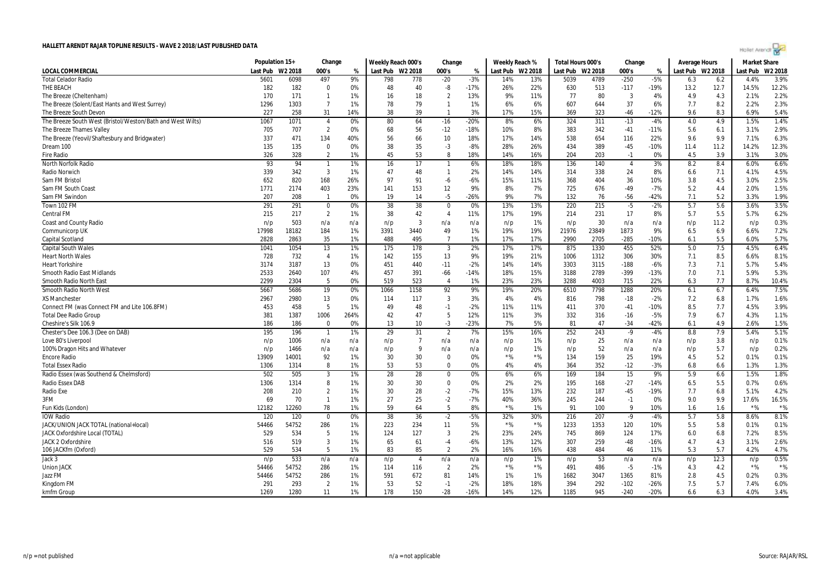| Hollet Arendi N |  |  |  |
|-----------------|--|--|--|
|                 |  |  |  |
|                 |  |  |  |

|                                                            | Population 15+ |         | Change         |      | Weekly Reach 000's |                | Change         |        | Weekly Reach % |                  | Total Hours 000's |       | Change         |        | <b>Average Hours</b> |      | <b>Market Share</b> |         |
|------------------------------------------------------------|----------------|---------|----------------|------|--------------------|----------------|----------------|--------|----------------|------------------|-------------------|-------|----------------|--------|----------------------|------|---------------------|---------|
| <b>LOCAL COMMERCIAL</b>                                    | Last Pub       | W2 2018 | 000's          | %    | Last Pub W2 2018   |                | 000's          | %      |                | Last Pub W2 2018 | Last Pub W2 2018  |       | 000's          | %      | Last Pub W2 2018     |      | Last Pub            | W2 2018 |
| <b>Total Celador Radio</b>                                 | 5601           | 6098    | 497            | 9%   | 798                | 778            | $-20$          | $-3%$  | 14%            | 13%              | 5039              | 4789  | $-250$         | $-5%$  | 6.3                  | 6.2  | 4.4%                | 3.9%    |
| THE BEACH                                                  | 182            | 182     | $\Omega$       | 0%   | 48                 | 40             | -8             | $-17%$ | 26%            | 22%              | 630               | 513   | $-117$         | -19%   | 13.2                 | 12.7 | 14.5%               | 12.2%   |
| The Breeze (Cheltenham)                                    | 170            | 171     | $\mathbf{1}$   | 1%   | 16                 | 18             | $\overline{2}$ | 13%    | 9%             | 11%              | 77                | 80    | $\overline{3}$ | 4%     | 4.9                  | 4.3  | 2.1%                | 2.2%    |
| The Breeze (Solent/East Hants and West Surrey)             | 1296           | 1303    | $\overline{7}$ | 1%   | 78                 | 79             | $\mathbf{1}$   | 1%     | 6%             | 6%               | 607               | 644   | 37             | 6%     | 7.7                  | 8.2  | 2.2%                | 2.3%    |
| The Breeze South Devon                                     | 227            | 258     | 31             | 14%  | 38                 | 39             | $\mathbf{1}$   | 3%     | 17%            | 15%              | 369               | 323   | -46            | $-12%$ | 9.6                  | 8.3  | 6.9%                | 5.4%    |
| The Breeze South West (Bristol/Weston/Bath and West Wilts) | 1067           | 1071    | $\overline{4}$ | 0%   | 80                 | 64             | $-16$          | $-20%$ | 8%             | 6%               | 324               | 311   | $-13$          | $-4%$  | 4.0                  | 4.9  | 1.5%                | 1.4%    |
| The Breeze Thames Valley                                   | 705            | 707     | $\overline{2}$ | 0%   | 68                 | 56             | $-12$          | $-18%$ | 10%            | 8%               | 383               | 342   | $-41$          | $-11%$ | 5.6                  | 6.1  | 3.1%                | 2.9%    |
| The Breeze (Yeovil/Shaftesbury and Bridgwater)             | 337            | 471     | 134            | 40%  | 56                 | 66             | 10             | 18%    | 17%            | 14%              | 538               | 654   | 116            | 22%    | 9.6                  | 9.9  | 7.1%                | 6.3%    |
| Dream 100                                                  | 135            | 135     | $\Omega$       | 0%   | 38                 | 35             | -3             | $-8%$  | 28%            | 26%              | 434               | 389   | $-45$          | $-10%$ | 11.4                 | 11.2 | 14.2%               | 12.3%   |
| <b>Fire Radio</b>                                          | 326            | 328     | $\overline{2}$ | 1%   | 45                 | 53             | 8              | 18%    | 14%            | 16%              | 204               | 203   | $-1$           | 0%     | 4.5                  | 3.9  | 3.1%                | 3.0%    |
| North Norfolk Radio                                        | 93             | 94      | -1             | 1%   | 16                 | 17             | $\mathbf{1}$   | 6%     | 18%            | 18%              | 136               | 140   | $\overline{4}$ | 3%     | 8.2                  | 8.4  | 6.0%                | 6.6%    |
| <b>Radio Norwich</b>                                       | 339            | 342     | $\overline{3}$ | 1%   | 47                 | 48             | $\mathbf{1}$   | 2%     | 14%            | 14%              | 314               | 338   | 24             | 8%     | 6.6                  | 7.1  | 4.1%                | 4.5%    |
| Sam FM Bristol                                             | 652            | 820     | 168            | 26%  | 97                 | 91             | $-6$           | $-6%$  | 15%            | 11%              | 368               | 404   | 36             | 10%    | 3.8                  | 4.5  | 3.0%                | 2.5%    |
| Sam FM South Coast                                         | 1771           | 2174    | 403            | 23%  | 141                | 153            | 12             | 9%     | 8%             | 7%               | 725               | 676   | $-49$          | $-7%$  | 5.2                  | 4.4  | 2.0%                | 1.5%    |
| Sam FM Swindon                                             | 207            | 208     | $\mathbf{1}$   | 0%   | 19                 | 14             | $-5$           | $-26%$ | 9%             | 7%               | 132               | 76    | $-56$          | $-42%$ | 7.1                  | 5.2  | 3.3%                | 1.9%    |
| Town 102 FM                                                | 291            | 291     | 0              | 0%   | 38                 | 38             | $\mathbf 0$    | 0%     | 13%            | 13%              | 220               | 215   | $-5$           | $-2%$  | 5.7                  | 5.6  | 3.6%                | 3.5%    |
| <b>Central FM</b>                                          | 215            | 217     | $\overline{2}$ | 1%   | 38                 | 42             | $\overline{4}$ | 11%    | 17%            | 19%              | 214               | 231   | 17             | 8%     | 5.7                  | 5.5  | 5.7%                | 6.2%    |
| <b>Coast and County Radio</b>                              | n/p            | 503     | n/a            | n/a  | n/p                | 3              | n/a            | n/a    | n/p            | 1%               | n/p               | 30    | n/a            | n/a    | n/p                  | 11.2 | n/p                 | 0.3%    |
| Communicorp UK                                             | 17998          | 18182   | 184            | 1%   | 3391               | 3440           | 49             | 1%     | 19%            | 19%              | 21976             | 23849 | 1873           | 9%     | 6.5                  | 6.9  | 6.6%                | 7.2%    |
| Capital Scotland                                           | 2828           | 2863    | 35             | 1%   | 488                | 495            | $\overline{7}$ | 1%     | 17%            | 17%              | 2990              | 2705  | $-285$         | $-10%$ | 6.1                  | 5.5  | 6.0%                | 5.7%    |
| Capital South Wales                                        | 1041           | 1054    | 13             | 1%   | 175                | 178            | $\overline{3}$ | 2%     | 17%            | 17%              | 875               | 1330  | 455            | 52%    | 5.0                  | 7.5  | 4.5%                | 6.4%    |
| <b>Heart North Wales</b>                                   | 728            | 732     | $\overline{4}$ | 1%   | 142                | 155            | 13             | 9%     | 19%            | 21%              | 1006              | 1312  | 306            | 30%    | 7.1                  | 8.5  | 6.6%                | 8.1%    |
| <b>Heart Yorkshire</b>                                     | 3174           | 3187    | 13             | 0%   | 451                | 440            | $-11$          | $-2%$  | 14%            | 14%              | 3303              | 3115  | $-188$         | $-6%$  | 7.3                  | 7.1  | 5.7%                | 5.4%    |
| Smooth Radio East Midlands                                 | 2533           | 2640    | 107            | 4%   | 457                | 391            | $-66$          | $-14%$ | 18%            | 15%              | 3188              | 2789  | $-399$         | $-13%$ | 7.0                  | 7.1  | 5.9%                | 5.3%    |
| Smooth Radio North East                                    | 2299           | 2304    | 5              | 0%   | 519                | 523            | $\overline{4}$ | 1%     | 23%            | 23%              | 3288              | 4003  | 715            | 22%    | 6.3                  | 7.7  | 8.7%                | 10.4%   |
| <b>Smooth Radio North West</b>                             | 5667           | 5686    | 19             | 0%   | 1066               | 1158           | 92             | 9%     | 19%            | 20%              | 6510              | 7798  | 1288           | 20%    | 6.1                  | 6.7  | 6.4%                | 7.5%    |
| <b>XS Manchester</b>                                       | 2967           | 2980    | 13             | 0%   | 114                | 117            | 3              | 3%     | 4%             | 4%               | 816               | 798   | $-18$          | $-2%$  | 7.2                  | 6.8  | 1.7%                | 1.6%    |
| Connect FM (was Connect FM and Lite 106.8FM)               | 453            | 458     | 5              | 1%   | 49                 | 48             | $-1$           | $-2%$  | 11%            | 11%              | 411               | 370   | $-41$          | $-10%$ | 8.5                  | 7.7  | 4.5%                | 3.9%    |
| <b>Total Dee Radio Group</b>                               | 381            | 1387    | 1006           | 264% | 42                 | 47             | 5              | 12%    | 11%            | 3%               | 332               | 316   | $-16$          | $-5%$  | 7.9                  | 6.7  | 4.3%                | 1.1%    |
| Cheshire's Silk 106.9                                      | 186            | 186     | $\mathbf 0$    | 0%   | 13                 | 10             | $-3$           | $-23%$ | 7%             | 5%               | 81                | 47    | $-34$          | $-42%$ | 6.1                  | 4.9  | 2.6%                | 1.5%    |
| Chester's Dee 106.3 (Dee on DAB)                           | 195            | 196     | $\mathbf{1}$   | 1%   | 29                 | 31             | $\overline{2}$ | 7%     | 15%            | 16%              | 252               | 243   | $-9$           | $-4%$  | 8.8                  | 7.9  | 5.4%                | 5.1%    |
| Love 80's Liverpool                                        | n/p            | 1006    | n/a            | n/a  | n/p                | $\overline{7}$ | n/a            | n/a    | n/p            | 1%               | n/p               | 25    | n/a            | n/a    | n/p                  | 3.8  | n/p                 | 0.1%    |
| 100% Dragon Hits and Whatever                              | n/p            | 1466    | n/a            | n/a  | n/p                | 9              | n/a            | n/a    | n/p            | 1%               | n/p               | 52    | n/a            | n/a    | n/p                  | 5.7  | n/p                 | 0.2%    |
| <b>Encore Radio</b>                                        | 13909          | 14001   | 92             | 1%   | 30                 | 30             | $\Omega$       | 0%     | $*$ %          | $*96$            | 134               | 159   | 25             | 19%    | 4.5                  | 5.2  | 0.1%                | 0.1%    |
| <b>Total Essex Radio</b>                                   | 1306           | 1314    | 8              | 1%   | 53                 | 53             | $\Omega$       | 0%     | 4%             | 4%               | 364               | 352   | $-12$          | $-3%$  | 6.8                  | 6.6  | 1.3%                | 1.3%    |
| Radio Essex (was Southend & Chelmsford)                    | 502            | 505     | 3              | 1%   | 28                 | 28             | $\mathbf 0$    | 0%     | 6%             | 6%               | 169               | 184   | 15             | 9%     | 5.9                  | 6.6  | 1.5%                | 1.8%    |
| Radio Essex DAB                                            | 1306           | 1314    | 8              | 1%   | 30                 | 30             | $\Omega$       | 0%     | 2%             | 2%               | 195               | 168   | $-27$          | $-14%$ | 6.5                  | 5.5  | 0.7%                | 0.6%    |
| <b>Radio Exe</b>                                           | 208            | 210     | $\overline{2}$ | 1%   | 30                 | 28             | $-2$           | $-7%$  | 15%            | 13%              | 232               | 187   | $-45$          | $-19%$ | 7.7                  | 6.8  | 5.1%                | 4.2%    |
| 3FM                                                        | 69             | 70      | $\mathbf{1}$   | 1%   | 27                 | 25             | $-2$           | $-7%$  | 40%            | 36%              | 245               | 244   | $-1$           | 0%     | 9.0                  | 9.9  | 17.6%               | 16.5%   |
| Fun Kids (London)                                          | 12182          | 12260   | 78             | 1%   | 59                 | 64             | 5              | 8%     | $*$ %          | 1%               | 91                | 100   | $\mathbf{q}$   | 10%    | 1.6                  | 1.6  | $*$ %               | $*$ %   |
| <b>IOW Radio</b>                                           | 120            | 120     | $\mathbf 0$    | 0%   | 38                 | 36             | $-2$           | $-5%$  | 32%            | 30%              | 216               | 207   | -9             | $-4%$  | 5.7                  | 5.8  | 8.6%                | 8.1%    |
| JACK/UNION JACK TOTAL (national+local)                     | 54466          | 54752   | 286            | 1%   | 223                | 234            | 11             | 5%     | $*$ %          | $*$ %            | 1233              | 1353  | 120            | 10%    | 5.5                  | 5.8  | 0.1%                | 0.1%    |
| JACK Oxfordshire Local (TOTAL)                             | 529            | 534     | 5              | 1%   | 124                | 127            | 3              | 2%     | 23%            | 24%              | 745               | 869   | 124            | 17%    | 6.0                  | 6.8  | 7.2%                | 8.5%    |
| <b>JACK 2 Oxfordshire</b>                                  | 516            | 519     | 3              | 1%   | 65                 | 61             | -4             | $-6%$  | 13%            | 12%              | 307               | 259   | $-48$          | $-16%$ | 4.7                  | 4.3  | 3.1%                | 2.6%    |
| 106 JACKfm (Oxford)                                        | 529            | 534     | 5              | 1%   | 83                 | 85             | $\overline{2}$ | 2%     | 16%            | 16%              | 438               | 484   | 46             | 11%    | 5.3                  | 5.7  | 4.2%                | 4.7%    |
| Jack 3                                                     | n/p            | 533     | n/a            | n/a  | n/p                | $\overline{4}$ | n/a            | n/a    | n/p            | 1%               | n/p               | 53    | n/a            | n/a    | n/p                  | 12.3 | n/p                 | 0.5%    |
| <b>Union JACK</b>                                          | 54466          | 54752   | 286            | 1%   | 114                | 116            | $\overline{2}$ | 2%     | $*$ %          | $*$ %            | 491               | 486   | $-5$           | $-1%$  | 4.3                  | 4.2  | $*$ %               | $*$ %   |
| Jazz FM                                                    | 54466          | 54752   | 286            | 1%   | 591                | 672            | 81             | 14%    | 1%             | 1%               | 1682              | 3047  | 1365           | 81%    | 2.8                  | 4.5  | 0.2%                | 0.3%    |
| Kingdom FM                                                 | 291            | 293     | $\overline{2}$ | 1%   | 53                 | 52             | $-1$           | $-2%$  | 18%            | 18%              | 394               | 292   | $-102$         | $-26%$ | 7.5                  | 5.7  | 7.4%                | 6.0%    |
| kmfm Group                                                 | 1269           | 1280    | 11             | 1%   | 178                | 150            | $-28$          | $-16%$ | 14%            | 12%              | 1185              | 945   | $-240$         | $-20%$ | 6.6                  | 6.3  | 4.0%                | 3.4%    |
|                                                            |                |         |                |      |                    |                |                |        |                |                  |                   |       |                |        |                      |      |                     |         |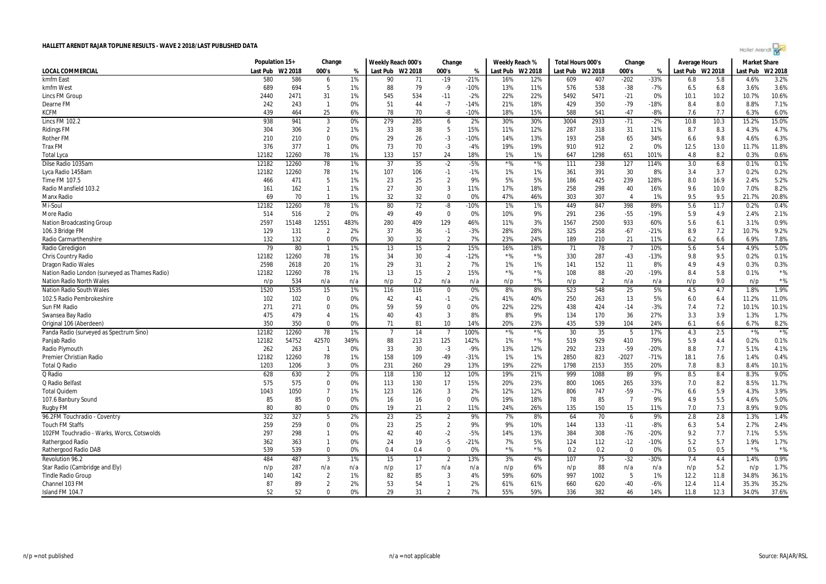

|                                                | Population 15+ |         | Change         |       | Weekly Reach 000's |     | Change         |        | Weekly Reach % |                  | Total Hours 000's |                | Change                 |        | Average Hours    |      | Market Share |         |
|------------------------------------------------|----------------|---------|----------------|-------|--------------------|-----|----------------|--------|----------------|------------------|-------------------|----------------|------------------------|--------|------------------|------|--------------|---------|
| <b>LOCAL COMMERCIAL</b>                        | Last Pub       | W2 2018 | 000's          | %     | Last Pub W2 2018   |     | 000's          | %      |                | Last Pub W2 2018 | Last Pub W2 2018  |                | 000's                  | %      | Last Pub W2 2018 |      | Last Pub     | W2 2018 |
| kmfm East                                      | 580            | 586     | 6              | 1%    | 90                 | 71  | $-19$          | $-21%$ | 16%            | 12%              | 609               | 407            | $-202$                 | $-33%$ | 6.8              | 5.8  | 4.6%         | 3.2%    |
| kmfm West                                      | 689            | 694     | 5              | 1%    | 88                 | 79  | $-9$           | $-10%$ | 13%            | 11%              | 576               | 538            | $-38$                  | $-7%$  | 6.5              | 6.8  | 3.6%         | 3.6%    |
| Lincs FM Group                                 | 2440           | 2471    | 31             | 1%    | 545                | 534 | $-11$          | $-2%$  | 22%            | 22%              | 5492              | 5471           | $-21$                  | 0%     | 10.1             | 10.2 | 10.7%        | 10.6%   |
| Dearne FM                                      | 242            | 243     | $\overline{1}$ | 0%    | 51                 | 44  | $-7$           | $-14%$ | 21%            | 18%              | 429               | 350            | $-79$                  | $-18%$ | 8.4              | 8.0  | 8.8%         | 7.1%    |
| <b>KCFM</b>                                    | 439            | 464     | 25             | 6%    | 78                 | 70  | -8             | $-10%$ | 18%            | 15%              | 588               | 541            | $-47$                  | $-8%$  | 7.6              | 7.7  | 6.3%         | 6.0%    |
| <b>Lincs FM 102.2</b>                          | 938            | 941     | 3              | 0%    | 279                | 285 | 6              | 2%     | 30%            | 30%              | 3004              | 2933           | $-71$                  | $-2%$  | 10.8             | 10.3 | 15.2%        | 15.0%   |
| <b>Ridings FM</b>                              | 304            | 306     | $\overline{2}$ | 1%    | 33                 | 38  | - 5            | 15%    | 11%            | 12%              | 287               | 318            | 31                     | 11%    | 8.7              | 8.3  | 4.3%         | 4.7%    |
| <b>Rother FM</b>                               | 210            | 210     | $\mathbf 0$    | 0%    | 29                 | 26  | $-3$           | $-10%$ | 14%            | 13%              | 193               | 258            | 65                     | 34%    | 6.6              | 9.8  | 4.6%         | 6.3%    |
| <b>Trax FM</b>                                 | 376            | 377     | $\overline{1}$ | 0%    | 73                 | 70  | $-3$           | -4%    | 19%            | 19%              | 910               | 912            | $\overline{2}$         | 0%     | 12.5             | 13.0 | 11.7%        | 11.8%   |
| <b>Total Lyca</b>                              | 12182          | 12260   | 78             | 1%    | 133                | 157 | 24             | 18%    | 1%             | 1%               | 647               | 1298           | 651                    | 101%   | 4.8              | 8.2  | 0.3%         | 0.6%    |
| Dilse Radio 1035am                             | 12182          | 12260   | 78             | 1%    | 37                 | 35  | $-2$           | $-5%$  | $*$ %          | $*$ %            | 111               | 238            | 127                    | 114%   | 3.0              | 6.8  | 0.1%         | 0.1%    |
| Lyca Radio 1458am                              | 12182          | 12260   | 78             | 1%    | 107                | 106 | $-1$           | $-1%$  | 1%             | 1%               | 361               | 391            | 30                     | 8%     | 3.4              | 3.7  | 0.2%         | 0.2%    |
| Time FM 107.5                                  | 466            | 471     | 5              | 1%    | 23                 | 25  | $\overline{2}$ | 9%     | 5%             | 5%               | 186               | 425            | 239                    | 128%   | 8.0              | 16.9 | 2.4%         | 5.2%    |
| Radio Mansfield 103.2                          | 161            | 162     | $\overline{1}$ | $1\%$ | 27                 | 30  | 3              | 11%    | 17%            | 18%              | 258               | 298            | 40                     | 16%    | 9.6              | 10.0 | 7.0%         | 8.2%    |
| <b>Manx Radio</b>                              | 69             | 70      | $\overline{1}$ | 1%    | 32                 | 32  | $\overline{0}$ | 0%     | 47%            | 46%              | 303               | 307            | $\boldsymbol{\Lambda}$ | 1%     | 9.5              | 9.5  | 21.7%        | 20.8%   |
| Mi-Soul                                        | 12182          | 12260   | 78             | 1%    | 80                 | 72  | -8             | $-10%$ | 1%             | 1%               | 449               | 847            | 398                    | 89%    | 5.6              | 11.7 | 0.2%         | 0.4%    |
| More Radio                                     | 514            | 516     | $\overline{2}$ | 0%    | 49                 | 49  | $\mathbf 0$    | 0%     | 10%            | 9%               | 291               | 236            | $-55$                  | $-19%$ | 5.9              | 4.9  | 2.4%         | 2.1%    |
| <b>Nation Broadcasting Group</b>               | 2597           | 15148   | 12551          | 483%  | 280                | 409 | 129            | 46%    | 11%            | 3%               | 1567              | 2500           | 933                    | 60%    | 5.6              | 6.1  | 3.1%         | 0.9%    |
| 106.3 Bridge FM                                | 129            | 131     | $\overline{2}$ | 2%    | 37                 | 36  | $-1$           | $-3%$  | 28%            | 28%              | 325               | 258            | $-67$                  | $-21%$ | 8.9              | 7.2  | 10.7%        | 9.2%    |
| Radio Carmarthenshire                          | 132            | 132     | $\mathbf 0$    | 0%    | 30                 | 32  | $\overline{2}$ | 7%     | 23%            | 24%              | 189               | 210            | 21                     | 11%    | 6.2              | 6.6  | 6.9%         | 7.8%    |
| Radio Ceredigion                               | 79             | 80      | $\overline{1}$ | 1%    | 13                 | 15  | $\overline{2}$ | 15%    | 16%            | 18%              | 71                | 78             |                        | 10%    | 5.6              | 5.4  | 4.9%         | 5.0%    |
| Chris Country Radio                            | 12182          | 12260   | 78             | 1%    | 34                 | 30  | $^{\rm -4}$    | $-12%$ | $*$ %          | ${}^{\star}\%$   | 330               | 287            | $-43$                  | $-13%$ | 9.8              | 9.5  | 0.2%         | 0.1%    |
| <b>Dragon Radio Wales</b>                      | 2598           | 2618    | 20             | 1%    | 29                 | 31  | $\overline{2}$ | 7%     | 1%             | 1%               | 141               | 152            | 11                     | 8%     | 4.9              | 4.9  | 0.3%         | 0.3%    |
| Nation Radio London (surveyed as Thames Radio) | 12182          | 12260   | 78             | 1%    | 13                 | 15  | $\overline{2}$ | 15%    | $*$ %          | $*$ %            | 108               | 88             | $-20$                  | $-19%$ | 8.4              | 5.8  | 0.1%         | $*$ %   |
| <b>Nation Radio North Wales</b>                | n/p            | 534     | n/a            | n/a   | n/p                | 0.2 | n/a            | n/a    | n/p            | $*$ %            | n/p               | $\overline{2}$ | n/a                    | n/a    | n/p              | 9.0  | n/p          | $*$ %   |
| <b>Nation Radio South Wales</b>                | 1520           | 1535    | 15             | 1%    | 116                | 116 | $\overline{0}$ | 0%     | 8%             | 8%               | 523               | 548            | 25                     | 5%     | 4.5              | 4.7  | 1.8%         | 1.9%    |
| 102.5 Radio Pembrokeshire                      | 102            | 102     | $\mathbf 0$    | 0%    | 42                 | 41  | $-1$           | $-2%$  | 41%            | 40%              | 250               | 263            | 13                     | 5%     | 6.0              | 6.4  | 11.2%        | 11.0%   |
| Sun FM Radio                                   | 271            | 271     | $\mathbf 0$    | 0%    | 59                 | 59  | $\mathbf 0$    | 0%     | 22%            | 22%              | 438               | 424            | $-14$                  | $-3%$  | 7.4              | 7.2  | 10.1%        | 10.1%   |
| Swansea Bay Radio                              | 475            | 479     | $\overline{4}$ | 1%    | 40                 | 43  | 3              | 8%     | 8%             | 9%               | 134               | 170            | 36                     | 27%    | 3.3              | 3.9  | 1.3%         | 1.7%    |
| Original 106 (Aberdeen)                        | 350            | 350     | $\Omega$       | 0%    | 71                 | 81  | 10             | 14%    | 20%            | 23%              | 435               | 539            | 104                    | 24%    | 6.1              | 6.6  | 6.7%         | 8.2%    |
| Panda Radio (surveyed as Spectrum Sino)        | 12182          | 12260   | 78             | 1%    | $\overline{7}$     | 14  | $\overline{7}$ | 100%   | $*$ %          | $*$ %            | 30                | 35             | 5                      | 17%    | 4.3              | 2.5  | $*$ %        | $*$ %   |
| Panjab Radio                                   | 12182          | 54752   | 42570          | 349%  | 88                 | 213 | 125            | 142%   | 1%             | $*$ %            | 519               | 929            | 410                    | 79%    | 5.9              | 4.4  | 0.2%         | 0.1%    |
| Radio Plymouth                                 | 262            | 263     | $\overline{1}$ | 0%    | 33                 | 30  | $-3$           | $-9%$  | 13%            | 12%              | 292               | 233            | $-59$                  | $-20%$ | 8.8              | 7.7  | 5.1%         | 4.1%    |
| Premier Christian Radio                        | 12182          | 12260   | 78             | 1%    | 158                | 109 | $-49$          | $-31%$ | 1%             | 1%               | 2850              | 823            | $-2027$                | $-71%$ | 18.1             | 7.6  | 1.4%         | 0.4%    |
| <b>Total Q Radio</b>                           | 1203           | 1206    | 3              | 0%    | 231                | 260 | 29             | 13%    | 19%            | 22%              | 1798              | 2153           | 355                    | 20%    | 7.8              | 8.3  | 8.4%         | 10.1%   |
| Q Radio                                        | 628            | 630     | $\overline{2}$ | 0%    | 118                | 130 | 12             | 10%    | 19%            | 21%              | 999               | 1088           | 89                     | 9%     | 8.5              | 8.4  | 8.3%         | 9.0%    |
| Q Radio Belfast                                | 575            | 575     | $\mathbf 0$    | 0%    | 113                | 130 | 17             | 15%    | 20%            | 23%              | 800               | 1065           | 265                    | 33%    | 7.0              | 8.2  | 8.5%         | 11.7%   |
| <b>Total Quidem</b>                            | 1043           | 1050    | $\overline{7}$ | 1%    | 123                | 126 | 3              | 2%     | 12%            | 12%              | 806               | 747            | $-59$                  | $-7%$  | 6.6              | 5.9  | 4.3%         | 3.9%    |
| 107.6 Banbury Sound                            | 85             | 85      | $\mathbf 0$    | 0%    | 16                 | 16  | 0              | 0%     | 19%            | 18%              | 78                | 85             | -7                     | 9%     | 4.9              | 5.5  | 4.6%         | 5.0%    |
| Rugby FM                                       | 80             | 80      | $\mathbf 0$    | 0%    | 19                 | 21  | $\overline{2}$ | 11%    | 24%            | 26%              | 135               | 150            | 15                     | 11%    | 7.0              | 7.3  | 8.9%         | 9.0%    |
| 96.2FM Touchradio - Coventry                   | 322            | 327     | 5              | 2%    | 23                 | 25  | $\overline{2}$ | 9%     | 7%             | 8%               | 64                | 70             | 6                      | 9%     | 2.8              | 2.8  | 1.3%         | 1.4%    |
| <b>Touch FM Staffs</b>                         | 259            | 259     | $\mathbf 0$    | 0%    | 23                 | 25  | $\overline{2}$ | 9%     | 9%             | 10%              | 144               | 133            | $-11$                  | $-8%$  | 6.3              | 5.4  | 2.7%         | 2.4%    |
| 102FM Touchradio - Warks, Worcs, Cotswolds     | 297            | 298     | $\overline{1}$ | 0%    | 42                 | 40  | $-2$           | -5%    | 14%            | 13%              | 384               | 308            | $-76$                  | $-20%$ | 9.2              | 7.7  | 7.1%         | 5.5%    |
| Rathergood Radio                               | 362            | 363     | $\overline{1}$ | 0%    | 24                 | 19  | $-5$           | $-21%$ | 7%             | 5%               | 124               | 112            | $-12$                  | $-10%$ | 5.2              | 5.7  | 1.9%         | 1.7%    |
| Rathergood Radio DAB                           | 539            | 539     | $\mathbf 0$    | 0%    | 0.4                | 0.4 | $\mathbf 0$    | 0%     | $*$ %          | *%               | 0.2               | 0.2            | $\Omega$               | 0%     | 0.5              | 0.5  | $*$ %        | $*$ %   |
| Revolution 96.2                                | 484            | 487     | $\overline{3}$ | 1%    | 15                 | 17  | $\overline{2}$ | 13%    | 3%             | 4%               | 107               | 75             | $-32$                  | $-30%$ | 7.4              | 4.4  | 1.4%         | 0.9%    |
| Star Radio (Cambridge and Ely)                 | n/p            | 287     | n/a            | n/a   | n/p                | 17  | n/a            | n/a    | n/p            | 6%               | n/p               | 88             | n/a                    | n/a    | n/p              | 5.2  | n/p          | 1.7%    |
| <b>Tindle Radio Group</b>                      | 140            | 142     | $\overline{2}$ | 1%    | 82                 | 85  | 3              | 4%     | 59%            | 60%              | 997               | 1002           | -5                     | 1%     | 12.2             | 11.8 | 34.8%        | 36.1%   |
| Channel 103 FM                                 | 87             | 89      | $\overline{2}$ | 2%    | 53                 | 54  | $\mathbf{1}$   | 2%     | 61%            | 61%              | 660               | 620            | $-40$                  | $-6%$  | 12.4             | 11.4 | 35.3%        | 35.2%   |
| Island FM 104.7                                | 52             | 52      | $\mathbf{0}$   | 0%    | 29                 | 31  | $\overline{2}$ | 7%     | 55%            | 59%              | 336               | 382            | 46                     | 14%    | 11.8             | 12.3 | 34.0%        | 37.6%   |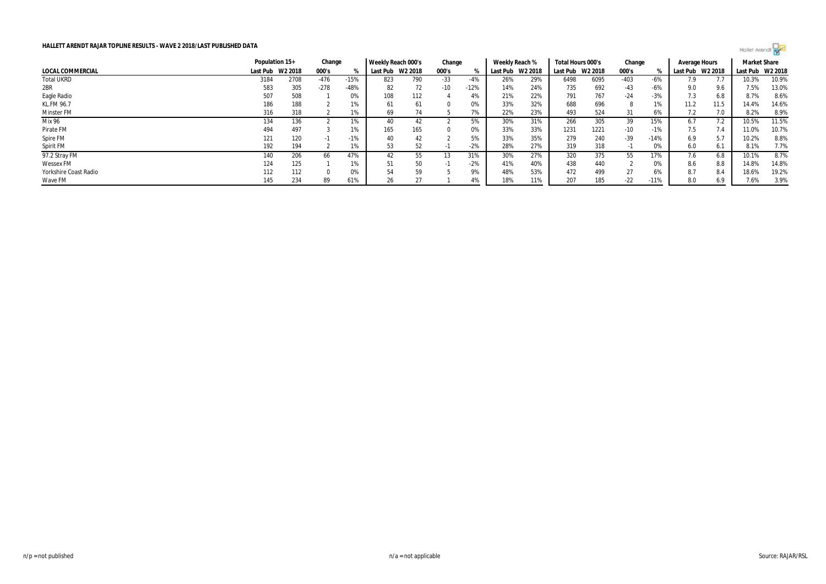

| HALLETT ARENDT RAJAR TOPLINE RESULTS - WAVE 2 2018/LAST PUBLISHED DATA |                |         |        |        |                    |         |        |        |                |         |                   |         |          |        |               |         | Hollet Arendi <sup>D</sup> |       |
|------------------------------------------------------------------------|----------------|---------|--------|--------|--------------------|---------|--------|--------|----------------|---------|-------------------|---------|----------|--------|---------------|---------|----------------------------|-------|
|                                                                        | Population 15+ |         | Change |        | Weekly Reach 000's |         | Change |        | Weekly Reach % |         | Total Hours 000's |         | Change   |        | Average Hours |         | <b>Market Share</b>        |       |
| LOCAL COMMERCIAL                                                       | Last Pub       | W2 2018 | 000's  |        | Last Pub           | W2 2018 | 000's  |        | Last Pub       | W2 2018 | Last Pub          | W2 2018 | 000's    |        | Last Pub      | W2 2018 | Last Pub W2 2018           |       |
| <b>Total UKRD</b>                                                      | 3184           | 2708    | $-476$ | $-15%$ | 823                | 790     | $-33$  | $-4%$  | 26%            | 29%     | 6498              | 6095    | $-403$   | $-6%$  | 7.9           |         | 10.3%                      | 10.9% |
| 2BR                                                                    | 583            | 305     | $-278$ | -48%   | 82                 | 72      | $-10$  | $-12%$ | 14%            | 24%     | 735               | 692     | $-43$    | $-6%$  | 9.0           | 9.6     | 7.5%                       | 13.0% |
| Eagle Radio                                                            | 507            | 508     |        | 0%     | 108                | 112     |        | 4%     | 21%            | 22%     | 791               | 767     | $-24$    | $-3%$  | 7.3           | 6.8     | 8.7%                       | 8.6%  |
| <b>KL.FM 96.7</b>                                                      | 186            | 188     |        | 1%     | 61                 | 61      | - 0    | 0%     | 33%            | 32%     | 688               | 696     |          | 1%     | 11.2          | 11.5    | 14.4%                      | 14.6% |
| Minster FM                                                             | 316            | 318     |        | 1%     | 69                 | 74      |        | 7%     | 22%            | 23%     | 493               | 524     | 31       | 6%     | 7.2           | 7.0     | 8.2%                       | 8.9%  |
| Mix 96                                                                 | 134            | 136     |        | 1%     | 40                 | 42      |        | 5%     | 30%            | 31%     | 266               | 305     | 39       | 15%    | 6.7           | 7.2     | 10.5%                      | 11.5% |
| Pirate FM                                                              | 494            | 497     |        | 1%     | 165                | 165     |        | 0%     | 33%            | 33%     | 1231              | 1221    | $-10$    | $-1%$  | 7.5           | 7.4     | 11.0%                      | 10.7% |
| Spire FM                                                               | 121            | 120     | -1     | $-1%$  | 40                 | 42      |        | 5%     | 33%            | 35%     | 279               | 240     | $-39$    | $-14%$ | 6.9           | 5.7     | 10.2%                      | 8.8%  |
| Spirit FM                                                              | 192            | 194     |        | 1%     | 53                 | 52      |        | $-2%$  | 28%            | 27%     | 319               | 318     | $\sim$ 1 | 0%     | 6.0           | 6.1     | 8.1%                       | 7.7%  |
| 97.2 Stray FM                                                          | 140            | 206     | 66     | 47%    | 42                 | 55      | -1.5   | 31%    | 30%            | 27%     | 320               | 375     | 55       | 17%    | 7.6           | 6.8     | 10.1%                      | 8.7%  |
| <b>Wessex FM</b>                                                       | 124            | 125     |        | 1%     | 51                 | 50      | - 1    | $-2%$  | 41%            | 40%     | 438               | 440     |          | 0%     | 8.6           | 8.8     | 14.8%                      | 14.8% |
| Yorkshire Coast Radio                                                  | 112            | 112     |        | 0%     | 54                 | 59      |        | 9%     | 48%            | 53%     | 472               | 499     | 27       | 6%     | 8.7           | 8.4     | 18.6%                      | 19.2% |
| Wave FM                                                                | 145            | 234     | 89     | 61%    | 26                 | 27      |        | 4%     | 18%            | 11%     | 207               | 185     | $-22$    | $-11%$ | 8.0           | 6.9     | 7.6%                       | 3.9%  |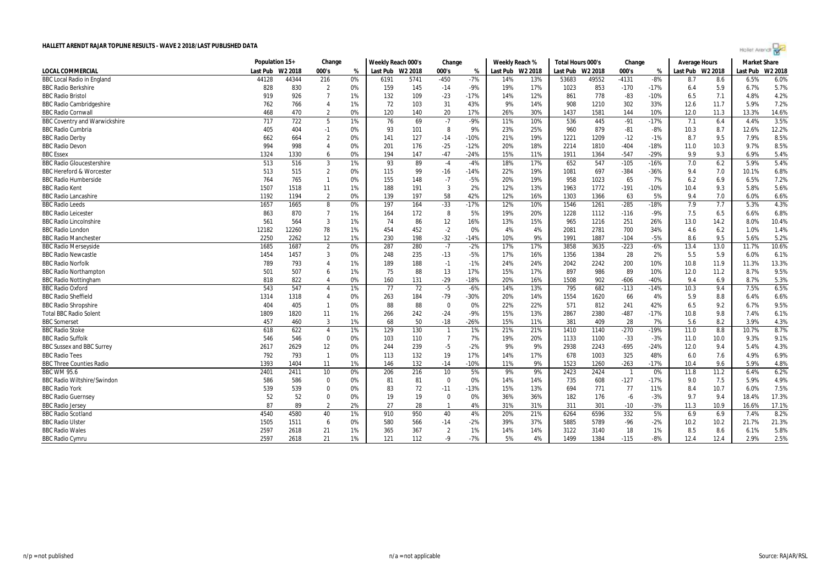|  | Hollet Arenar |  |  |
|--|---------------|--|--|
|  |               |  |  |

|                                      | Population 15+ |         | Change         |    | Weekly Reach 000's |         | Change         |        | Weekly Reach % |         | Total Hours 000's |         | Change         |        | Average Hours    |      | <b>Market Share</b> |         |
|--------------------------------------|----------------|---------|----------------|----|--------------------|---------|----------------|--------|----------------|---------|-------------------|---------|----------------|--------|------------------|------|---------------------|---------|
| <b>LOCAL COMMERCIAL</b>              | Last Pub       | W2 2018 | 000's          | %  | Last Pub           | W2 2018 | 000's          | %      | Last Pub       | W2 2018 | Last Pub          | W2 2018 | 000's          | %      | Last Pub W2 2018 |      | Last Pub            | W2 2018 |
| <b>BBC Local Radio in England</b>    | 44128          | 44344   | 216            | 0% | 6191               | 5741    | $-450$         | $-7%$  | 14%            | 13%     | 53683             | 49552   | $-4131$        | $-8%$  | 8.7              | 8.6  | 6.5%                | 6.0%    |
| <b>BBC Radio Berkshire</b>           | 828            | 830     | $\overline{2}$ | 0% | 159                | 145     | $-14$          | $-9%$  | 19%            | 17%     | 1023              | 853     | $-170$         | $-17%$ | 6.4              | 5.9  | 6.7%                | 5.7%    |
| <b>BBC Radio Bristol</b>             | 919            | 926     | $\overline{7}$ | 1% | 132                | 109     | $-23$          | $-17%$ | 14%            | 12%     | 861               | 778     | $-83$          | $-10%$ | 6.5              | 7.1  | 4.8%                | 4.2%    |
| <b>BBC Radio Cambridgeshire</b>      | 762            | 766     | $\overline{4}$ | 1% | 72                 | 103     | 31             | 43%    | 9%             | 14%     | 908               | 1210    | 302            | 33%    | 12.6             | 11.7 | 5.9%                | 7.2%    |
| <b>BBC Radio Cornwall</b>            | 468            | 470     | $\overline{2}$ | 0% | 120                | 140     | 20             | 17%    | 26%            | 30%     | 1437              | 1581    | 144            | 10%    | 12.0             | 11.3 | 13.3%               | 14.6%   |
| <b>BBC Coventry and Warwickshire</b> | 717            | 722     | 5              | 1% | 76                 | 69      | $-7$           | $-9%$  | 11%            | 10%     | 536               | 445     | $-91$          | $-17%$ | 7.1              | 6.4  | 4.4%                | 3.5%    |
| <b>BBC Radio Cumbria</b>             | 405            | 404     | $-1$           | 0% | 93                 | 101     | 8              | 9%     | 23%            | 25%     | 960               | 879     | $-81$          | -8%    | 10.3             | 8.7  | 12.6%               | 12.2%   |
| <b>BBC Radio Derby</b>               | 662            | 664     | $\overline{2}$ | 0% | 141                | 127     | $-14$          | $-10%$ | 21%            | 19%     | 1221              | 1209    | $-12$          | $-1%$  | 8.7              | 9.5  | 7.9%                | 8.5%    |
| <b>BBC Radio Devon</b>               | 994            | 998     | $\overline{4}$ | 0% | 201                | 176     | $-25$          | $-12%$ | 20%            | 18%     | 2214              | 1810    | $-404$         | $-18%$ | 11.0             | 10.3 | 9.7%                | 8.5%    |
| <b>BBC</b> Essex                     | 1324           | 1330    | 6              | 0% | 194                | 147     | $-47$          | $-24%$ | 15%            | 11%     | 1911              | 1364    | $-547$         | $-29%$ | 9.9              | 9.3  | 6.9%                | 5.4%    |
| <b>BBC Radio Gloucestershire</b>     | 513            | 516     | $\overline{3}$ | 1% | 93                 | 89      | $-4$           | $-4%$  | 18%            | 17%     | 652               | 547     | $-105$         | $-16%$ | 7.0              | 6.2  | 5.9%                | 5.4%    |
| <b>BBC Hereford &amp; Worcester</b>  | 513            | 515     | $\overline{2}$ | 0% | 115                | 99      | $-16$          | $-14%$ | 22%            | 19%     | 1081              | 697     | $-384$         | $-36%$ | 9.4              | 7.0  | 10.1%               | 6.8%    |
| <b>BBC Radio Humberside</b>          | 764            | 765     | $\mathbf{1}$   | 0% | 155                | 148     | $-7$           | $-5%$  | 20%            | 19%     | 958               | 1023    | 65             | 7%     | 6.2              | 6.9  | 6.5%                | 7.2%    |
| <b>BBC Radio Kent</b>                | 1507           | 1518    | 11             | 1% | 188                | 191     | $\overline{3}$ | 2%     | 12%            | 13%     | 1963              | 1772    | $-191$         | $-10%$ | 10.4             | 9.3  | 5.8%                | 5.6%    |
| <b>BBC Radio Lancashire</b>          | 1192           | 1194    | $\overline{2}$ | 0% | 139                | 197     | 58             | 42%    | 12%            | 16%     | 1303              | 1366    | 63             | 5%     | 9.4              | 7.0  | 6.0%                | 6.6%    |
| <b>BBC Radio Leeds</b>               | 1657           | 1665    | 8              | 0% | 197                | 164     | $-33$          | $-17%$ | 12%            | 10%     | 1546              | 1261    | $-285$         | $-18%$ | 7.9              | 7.7  | 5.3%                | 4.3%    |
| <b>BBC Radio Leicester</b>           | 863            | 870     | $\overline{7}$ | 1% | 164                | 172     | 8              | 5%     | 19%            | 20%     | 1228              | 1112    | $-116$         | $-9%$  | 7.5              | 6.5  | 6.6%                | 6.8%    |
| <b>BBC Radio Lincolnshire</b>        | 561            | 564     | $\overline{3}$ | 1% | 74                 | 86      | 12             | 16%    | 13%            | 15%     | 965               | 1216    | 251            | 26%    | 13.0             | 14.2 | 8.0%                | 10.4%   |
| <b>BBC Radio London</b>              | 12182          | 12260   | 78             | 1% | 454                | 452     | $-2$           | 0%     | 4%             | 4%      | 2081              | 2781    | 700            | 34%    | 4.6              | 6.2  | 1.0%                | 1.4%    |
| <b>BBC Radio Manchester</b>          | 2250           | 2262    | 12             | 1% | 230                | 198     | $-32$          | $-14%$ | 10%            | 9%      | 1991              | 1887    | $-104$         | $-5%$  | 8.6              | 9.5  | 5.6%                | 5.2%    |
| <b>BBC Radio Merseyside</b>          | 1685           | 1687    | $\overline{2}$ | 0% | 287                | 280     | $-7$           | $-2%$  | 17%            | 17%     | 3858              | 3635    | $-223$         | $-6%$  | 13.4             | 13.0 | 11.7%               | 10.6%   |
| <b>BBC Radio Newcastle</b>           | 1454           | 1457    | 3              | 0% | 248                | 235     | $-13$          | $-5%$  | 17%            | 16%     | 1356              | 1384    | 28             | 2%     | 5.5              | 5.9  | 6.0%                | 6.1%    |
| <b>BBC Radio Norfolk</b>             | 789            | 793     | $\overline{4}$ | 1% | 189                | 188     | $-1$           | $-1%$  | 24%            | 24%     | 2042              | 2242    | 200            | 10%    | 10.8             | 11.9 | 11.3%               | 13.3%   |
| <b>BBC Radio Northampton</b>         | 501            | 507     | 6              | 1% | 75                 | 88      | 13             | 17%    | 15%            | 17%     | 897               | 986     | 89             | 10%    | 12.0             | 11.2 | 8.7%                | 9.5%    |
| <b>BBC Radio Nottingham</b>          | 818            | 822     | $\overline{4}$ | 0% | 160                | 131     | $-29$          | $-18%$ | 20%            | 16%     | 1508              | 902     | $-606$         | $-40%$ | 9.4              | 6.9  | 8.7%                | 5.3%    |
| <b>BBC Radio Oxford</b>              | 543            | 547     | $\overline{4}$ | 1% | 77                 | 72      | $-5$           | $-6%$  | 14%            | 13%     | 795               | 682     | $-113$         | $-14%$ | 10.3             | 9.4  | 7.5%                | 6.5%    |
| <b>BBC Radio Sheffield</b>           | 1314           | 1318    | $\overline{4}$ | 0% | 263                | 184     | $-79$          | $-30%$ | 20%            | 14%     | 1554              | 1620    | 66             | 4%     | 5.9              | 8.8  | 6.4%                | 6.6%    |
| <b>BBC Radio Shropshire</b>          | 404            | 405     | $\mathbf{1}$   | 0% | 88                 | 88      | $\mathbf 0$    | 0%     | 22%            | 22%     | 571               | 812     | 241            | 42%    | 6.5              | 9.2  | 6.7%                | 9.5%    |
| <b>Total BBC Radio Solent</b>        | 1809           | 1820    | 11             | 1% | 266                | 242     | $-24$          | $-9%$  | 15%            | 13%     | 2867              | 2380    | $-487$         | $-17%$ | 10.8             | 9.8  | 7.4%                | 6.1%    |
| <b>BBC Somerset</b>                  | 457            | 460     | 3              | 1% | 68                 | 50      | $-18$          | $-26%$ | 15%            | 11%     | 381               | 409     | 28             | 7%     | 5.6              | 8.2  | 3.9%                | 4.3%    |
| <b>BBC Radio Stoke</b>               | 618            | 622     | $\overline{4}$ | 1% | 129                | 130     | $\mathbf{1}$   | 1%     | 21%            | 21%     | 1410              | 1140    | $-270$         | $-19%$ | 11.0             | 8.8  | 10.7%               | 8.7%    |
| <b>BBC Radio Suffolk</b>             | 546            | 546     | $\bf{0}$       | 0% | 103                | 110     | $\overline{7}$ | 7%     | 19%            | 20%     | 1133              | 1100    | $-33$          | $-3%$  | 11.0             | 10.0 | 9.3%                | 9.1%    |
| <b>BBC Sussex and BBC Surrey</b>     | 2617           | 2629    | 12             | 0% | 244                | 239     | $-5$           | $-2%$  | 9%             | 9%      | 2938              | 2243    | $-695$         | $-24%$ | 12.0             | 9.4  | 5.4%                | 4.3%    |
| <b>BBC Radio Tees</b>                | 792            | 793     | $\mathbf{1}$   | 0% | 113                | 132     | 19             | 17%    | 14%            | 17%     | 678               | 1003    | 325            | 48%    | 6.0              | 7.6  | 4.9%                | 6.9%    |
| <b>BBC Three Counties Radio</b>      | 1393           | 1404    | 11             | 1% | 146                | 132     | $-14$          | $-10%$ | 11%            | 9%      | 1523              | 1260    | $-263$         | $-17%$ | 10.4             | 9.6  | 5.9%                | 4.8%    |
| <b>BBC WM 95.6</b>                   | 2401           | 2411    | 10             | 0% | 206                | 216     | 10             | 5%     | 9%             | 9%      | 2423              | 2424    | $\overline{1}$ | 0%     | 11.8             | 11.2 | 6.4%                | 6.2%    |
| <b>BBC Radio Wiltshire/Swindon</b>   | 586            | 586     | $\mathbf 0$    | 0% | 81                 | 81      | $\Omega$       | 0%     | 14%            | 14%     | 735               | 608     | $-127$         | $-17%$ | 9.0              | 7.5  | 5.9%                | 4.9%    |
| <b>BBC Radio York</b>                | 539            | 539     | $\Omega$       | 0% | 83                 | 72      | $-11$          | $-13%$ | 15%            | 13%     | 694               | 771     | 77             | 11%    | 8.4              | 10.7 | 6.0%                | 7.5%    |
| <b>BBC Radio Guernsey</b>            | 52             | 52      | $\Omega$       | 0% | 19                 | 19      | $\Omega$       | 0%     | 36%            | 36%     | 182               | 176     | $-6$           | $-3%$  | 9.7              | 9.4  | 18.4%               | 17.3%   |
| <b>BBC Radio Jersey</b>              | 87             | 89      | $\overline{2}$ | 2% | 27                 | 28      | $\mathbf{1}$   | 4%     | 31%            | 31%     | 311               | 301     | $-10$          | $-3%$  | 11.3             | 10.9 | 16.6%               | 17.1%   |
| <b>BBC Radio Scotland</b>            | 4540           | 4580    | 40             | 1% | 910                | 950     | 40             | 4%     | 20%            | 21%     | 6264              | 6596    | 332            | 5%     | 6.9              | 6.9  | 7.4%                | 8.2%    |
| <b>BBC Radio Ulster</b>              | 1505           | 1511    | 6              | 0% | 580                | 566     | $-14$          | -2%    | 39%            | 37%     | 5885              | 5789    | $-96$          | $-2%$  | 10.2             | 10.2 | 21.7%               | 21.3%   |
| <b>BBC Radio Wales</b>               | 2597           | 2618    | 21             | 1% | 365                | 367     | $\overline{2}$ | 1%     | 14%            | 14%     | 3122              | 3140    | 18             | 1%     | 8.5              | 8.6  | 6.1%                | 5.8%    |
| <b>BBC Radio Cymru</b>               | 2597           | 2618    | 21             | 1% | 121                | 112     | $-9$           | $-7%$  | 5%             | 4%      | 1499              | 1384    | $-115$         | $-8%$  | 12.4             | 12.4 | 2.9%                | 2.5%    |